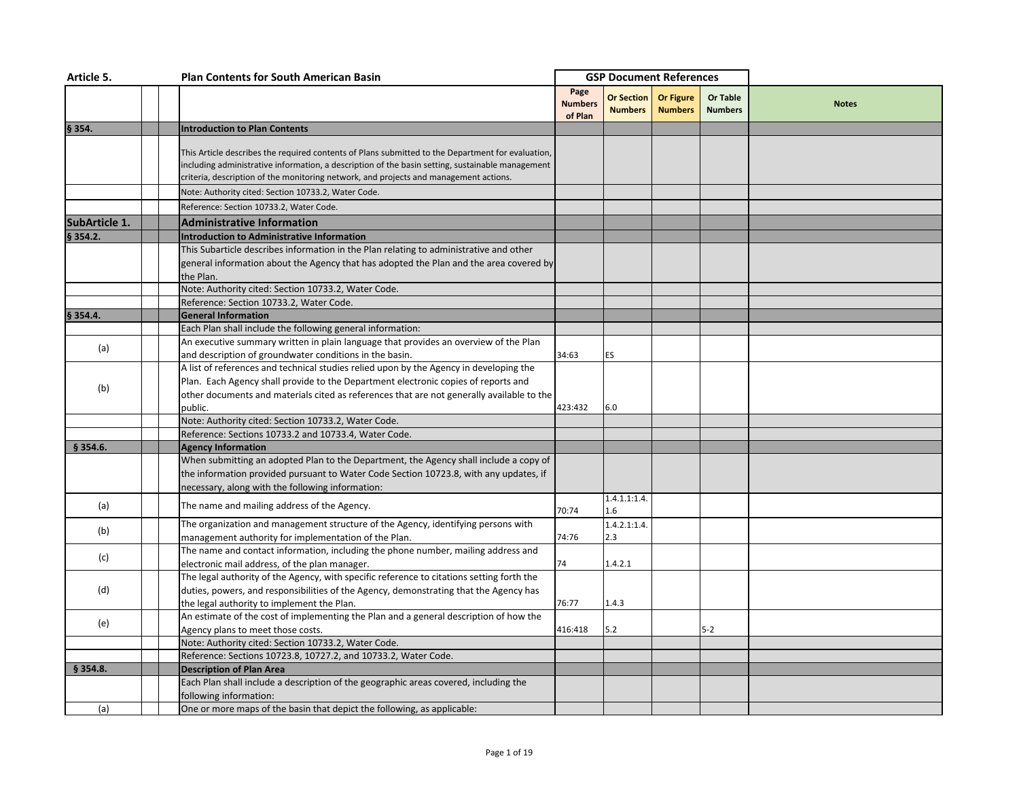| Article 5.           | <b>Plan Contents for South American Basin</b>                                                                                                                                                                                                                                                  |                                   | <b>GSP Document References</b> |                                    |                                   |              |
|----------------------|------------------------------------------------------------------------------------------------------------------------------------------------------------------------------------------------------------------------------------------------------------------------------------------------|-----------------------------------|--------------------------------|------------------------------------|-----------------------------------|--------------|
|                      |                                                                                                                                                                                                                                                                                                | Page<br><b>Numbers</b><br>of Plan | Or Section<br><b>Numbers</b>   | <b>Or Figure</b><br><b>Numbers</b> | <b>Or Table</b><br><b>Numbers</b> | <b>Notes</b> |
| § 354.               | <b>Introduction to Plan Contents</b>                                                                                                                                                                                                                                                           |                                   |                                |                                    |                                   |              |
|                      | This Article describes the required contents of Plans submitted to the Department for evaluation,<br>including administrative information, a description of the basin setting, sustainable management<br>criteria, description of the monitoring network, and projects and management actions. |                                   |                                |                                    |                                   |              |
|                      | Note: Authority cited: Section 10733.2, Water Code.                                                                                                                                                                                                                                            |                                   |                                |                                    |                                   |              |
|                      | Reference: Section 10733.2, Water Code.                                                                                                                                                                                                                                                        |                                   |                                |                                    |                                   |              |
| <b>SubArticle 1.</b> | <b>Administrative Information</b>                                                                                                                                                                                                                                                              |                                   |                                |                                    |                                   |              |
| § 354.2.             | <b>Introduction to Administrative Information</b>                                                                                                                                                                                                                                              |                                   |                                |                                    |                                   |              |
|                      | This Subarticle describes information in the Plan relating to administrative and other<br>general information about the Agency that has adopted the Plan and the area covered by<br>the Plan.<br>Note: Authority cited: Section 10733.2, Water Code.                                           |                                   |                                |                                    |                                   |              |
|                      | Reference: Section 10733.2, Water Code.                                                                                                                                                                                                                                                        |                                   |                                |                                    |                                   |              |
| § 354.4.             | <b>General Information</b>                                                                                                                                                                                                                                                                     |                                   |                                |                                    |                                   |              |
|                      | Each Plan shall include the following general information:                                                                                                                                                                                                                                     |                                   |                                |                                    |                                   |              |
| (a)                  | An executive summary written in plain language that provides an overview of the Plan<br>and description of groundwater conditions in the basin.                                                                                                                                                | 34:63                             | <b>ES</b>                      |                                    |                                   |              |
| (b)                  | A list of references and technical studies relied upon by the Agency in developing the<br>Plan. Each Agency shall provide to the Department electronic copies of reports and<br>other documents and materials cited as references that are not generally available to the<br>public.           | 423:432                           | 6.0                            |                                    |                                   |              |
|                      | Note: Authority cited: Section 10733.2, Water Code.                                                                                                                                                                                                                                            |                                   |                                |                                    |                                   |              |
|                      | Reference: Sections 10733.2 and 10733.4, Water Code.                                                                                                                                                                                                                                           |                                   |                                |                                    |                                   |              |
| § 354.6.             | <b>Agency Information</b>                                                                                                                                                                                                                                                                      |                                   |                                |                                    |                                   |              |
|                      | When submitting an adopted Plan to the Department, the Agency shall include a copy of<br>the information provided pursuant to Water Code Section 10723.8, with any updates, if<br>necessary, along with the following information:                                                             |                                   |                                |                                    |                                   |              |
| (a)                  | The name and mailing address of the Agency.                                                                                                                                                                                                                                                    | 70:74                             | 1.4.1.1:1.4.<br>1.6            |                                    |                                   |              |
| (b)                  | The organization and management structure of the Agency, identifying persons with<br>management authority for implementation of the Plan.                                                                                                                                                      | 74:76                             | 1.4.2.1:1.4.<br>2.3            |                                    |                                   |              |
| (c)                  | The name and contact information, including the phone number, mailing address and<br>electronic mail address, of the plan manager.                                                                                                                                                             | 74                                | 1.4.2.1                        |                                    |                                   |              |
| (d)                  | The legal authority of the Agency, with specific reference to citations setting forth the<br>duties, powers, and responsibilities of the Agency, demonstrating that the Agency has<br>the legal authority to implement the Plan.                                                               | 76:77                             | 1.4.3                          |                                    |                                   |              |
| (e)                  | An estimate of the cost of implementing the Plan and a general description of how the<br>Agency plans to meet those costs.                                                                                                                                                                     | 416:418                           | 5.2                            |                                    | $5 - 2$                           |              |
|                      | Note: Authority cited: Section 10733.2, Water Code.<br>Reference: Sections 10723.8, 10727.2, and 10733.2, Water Code.                                                                                                                                                                          |                                   |                                |                                    |                                   |              |
| \$354.8.             | <b>Description of Plan Area</b>                                                                                                                                                                                                                                                                |                                   |                                |                                    |                                   |              |
|                      | Each Plan shall include a description of the geographic areas covered, including the<br>following information:                                                                                                                                                                                 |                                   |                                |                                    |                                   |              |
| (a)                  | One or more maps of the basin that depict the following, as applicable:                                                                                                                                                                                                                        |                                   |                                |                                    |                                   |              |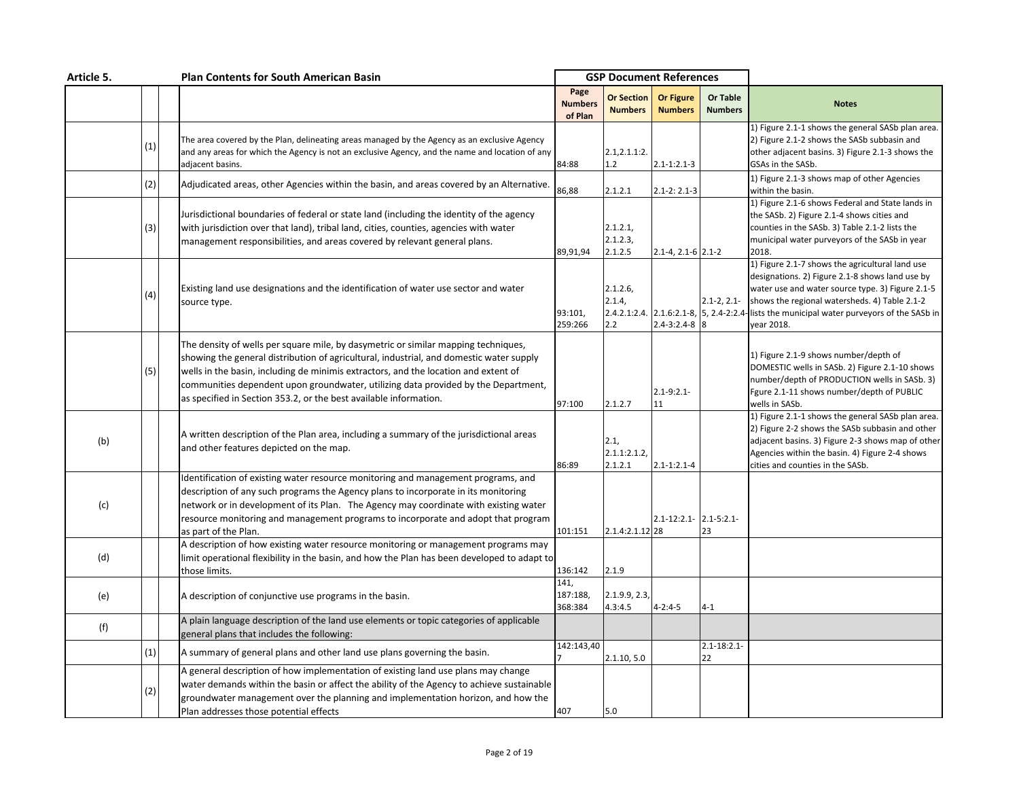| Article 5. |     | <b>Plan Contents for South American Basin</b>                                                                                                                                                                                                                                                                                                                                                                                   | <b>GSP Document References</b>    |                                     |                                    |                            |                                                                                                                                                                                                                                                                                                                     |
|------------|-----|---------------------------------------------------------------------------------------------------------------------------------------------------------------------------------------------------------------------------------------------------------------------------------------------------------------------------------------------------------------------------------------------------------------------------------|-----------------------------------|-------------------------------------|------------------------------------|----------------------------|---------------------------------------------------------------------------------------------------------------------------------------------------------------------------------------------------------------------------------------------------------------------------------------------------------------------|
|            |     |                                                                                                                                                                                                                                                                                                                                                                                                                                 | Page<br><b>Numbers</b><br>of Plan | <b>Or Section</b><br><b>Numbers</b> | <b>Or Figure</b><br><b>Numbers</b> | Or Table<br><b>Numbers</b> | <b>Notes</b>                                                                                                                                                                                                                                                                                                        |
|            | (1) | The area covered by the Plan, delineating areas managed by the Agency as an exclusive Agency<br>and any areas for which the Agency is not an exclusive Agency, and the name and location of any<br>adiacent basins.                                                                                                                                                                                                             | 84:88                             | 2.1, 2.1.1:2.<br>1.2                | $2.1 - 1:2.1 - 3$                  |                            | 1) Figure 2.1-1 shows the general SASb plan area.<br>2) Figure 2.1-2 shows the SASb subbasin and<br>other adjacent basins. 3) Figure 2.1-3 shows the<br>GSAs in the SASb.                                                                                                                                           |
|            | (2) | Adjudicated areas, other Agencies within the basin, and areas covered by an Alternative.                                                                                                                                                                                                                                                                                                                                        | 86,88                             | 2.1.2.1                             | $2.1 - 2: 2.1 - 3$                 |                            | 1) Figure 2.1-3 shows map of other Agencies<br>within the basin.                                                                                                                                                                                                                                                    |
|            | (3) | Jurisdictional boundaries of federal or state land (including the identity of the agency<br>with jurisdiction over that land), tribal land, cities, counties, agencies with water<br>management responsibilities, and areas covered by relevant general plans.                                                                                                                                                                  | 89,91,94                          | 2.1.2.1,<br>2.1.2.3<br>2.1.2.5      | $2.1 - 4, 2.1 - 6$ 2.1-2           |                            | 1) Figure 2.1-6 shows Federal and State lands in<br>the SASb. 2) Figure 2.1-4 shows cities and<br>counties in the SASb. 3) Table 2.1-2 lists the<br>municipal water purveyors of the SASb in year<br>2018.                                                                                                          |
|            | (4) | Existing land use designations and the identification of water use sector and water<br>source type.                                                                                                                                                                                                                                                                                                                             | 93:101,<br>259:266                | 2.1.2.6<br>2.1.4,<br>2.2            | $2.4 - 3:2.4 - 8$                  | $2.1 - 2, 2.1 -$<br>8      | 1) Figure 2.1-7 shows the agricultural land use<br>designations. 2) Figure 2.1-8 shows land use by<br>water use and water source type. 3) Figure 2.1-5<br>shows the regional watersheds. 4) Table 2.1-2<br>2.4.2.1:2.4. 2.1.6:2.1-8, 5, 2.4-2:2.4- lists the municipal water purveyors of the SASb in<br>vear 2018. |
|            | (5) | The density of wells per square mile, by dasymetric or similar mapping techniques,<br>showing the general distribution of agricultural, industrial, and domestic water supply<br>wells in the basin, including de minimis extractors, and the location and extent of<br>communities dependent upon groundwater, utilizing data provided by the Department,<br>as specified in Section 353.2, or the best available information. | 97:100                            | 2.1.2.7                             | $2.1 - 9:2.1$<br>11                |                            | 1) Figure 2.1-9 shows number/depth of<br>DOMESTIC wells in SASb. 2) Figure 2.1-10 shows<br>number/depth of PRODUCTION wells in SASb. 3)<br>Fgure 2.1-11 shows number/depth of PUBLIC<br>wells in SASb.                                                                                                              |
| (b)        |     | A written description of the Plan area, including a summary of the jurisdictional areas<br>and other features depicted on the map.                                                                                                                                                                                                                                                                                              | 86:89                             | 2.1,<br>2.1.1:2.1.2<br>2.1.2.1      | $2.1 - 1:2.1 - 4$                  |                            | 1) Figure 2.1-1 shows the general SASb plan area.<br>2) Figure 2-2 shows the SASb subbasin and other<br>adjacent basins. 3) Figure 2-3 shows map of other<br>Agencies within the basin. 4) Figure 2-4 shows<br>cities and counties in the SASb.                                                                     |
| (c)        |     | Identification of existing water resource monitoring and management programs, and<br>description of any such programs the Agency plans to incorporate in its monitoring<br>network or in development of its Plan. The Agency may coordinate with existing water<br>resource monitoring and management programs to incorporate and adopt that program<br>as part of the Plan.                                                    | 101:151                           | 2.1.4:2.1.12 28                     | 2.1-12:2.1- 2.1-5:2.1-             | 23                         |                                                                                                                                                                                                                                                                                                                     |
| (d)        |     | A description of how existing water resource monitoring or management programs may<br>limit operational flexibility in the basin, and how the Plan has been developed to adapt to<br>those limits.                                                                                                                                                                                                                              | 136:142                           | 2.1.9                               |                                    |                            |                                                                                                                                                                                                                                                                                                                     |
| (e)        |     | A description of conjunctive use programs in the basin.                                                                                                                                                                                                                                                                                                                                                                         | 141,<br>187:188,<br>368:384       | 2.1.9.9, 2.3,<br>4.3:4.5            | $4 - 2:4 - 5$                      | 4-1                        |                                                                                                                                                                                                                                                                                                                     |
| (f)        |     | A plain language description of the land use elements or topic categories of applicable<br>general plans that includes the following:                                                                                                                                                                                                                                                                                           |                                   |                                     |                                    |                            |                                                                                                                                                                                                                                                                                                                     |
|            | (1) | A summary of general plans and other land use plans governing the basin.                                                                                                                                                                                                                                                                                                                                                        | 142:143,40                        | 2.1.10, 5.0                         |                                    | $2.1 - 18:2.1$<br>22       |                                                                                                                                                                                                                                                                                                                     |
|            | (2) | A general description of how implementation of existing land use plans may change<br>water demands within the basin or affect the ability of the Agency to achieve sustainable<br>groundwater management over the planning and implementation horizon, and how the<br>Plan addresses those potential effects                                                                                                                    | 407                               | 5.0                                 |                                    |                            |                                                                                                                                                                                                                                                                                                                     |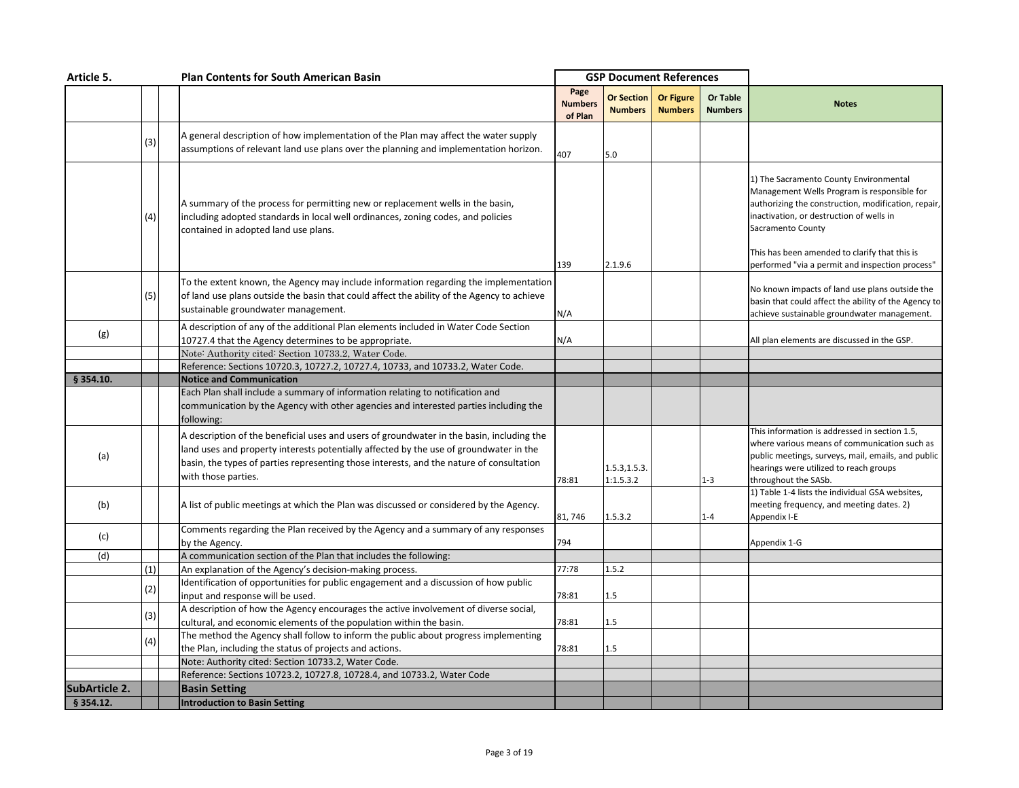| Article 5.    |     |  | <b>Plan Contents for South American Basin</b>                                                                                                                                                                                                                                                          |                                   | <b>GSP Document References</b>      |                                    |                            |                                                                                                                                                                                                                       |
|---------------|-----|--|--------------------------------------------------------------------------------------------------------------------------------------------------------------------------------------------------------------------------------------------------------------------------------------------------------|-----------------------------------|-------------------------------------|------------------------------------|----------------------------|-----------------------------------------------------------------------------------------------------------------------------------------------------------------------------------------------------------------------|
|               |     |  |                                                                                                                                                                                                                                                                                                        | Page<br><b>Numbers</b><br>of Plan | <b>Or Section</b><br><b>Numbers</b> | <b>Or Figure</b><br><b>Numbers</b> | Or Table<br><b>Numbers</b> | <b>Notes</b>                                                                                                                                                                                                          |
|               | (3) |  | A general description of how implementation of the Plan may affect the water supply<br>assumptions of relevant land use plans over the planning and implementation horizon.                                                                                                                            | 407                               | 5.0                                 |                                    |                            |                                                                                                                                                                                                                       |
|               | (4) |  | A summary of the process for permitting new or replacement wells in the basin,<br>including adopted standards in local well ordinances, zoning codes, and policies<br>contained in adopted land use plans.                                                                                             |                                   |                                     |                                    |                            | 1) The Sacramento County Environmental<br>Management Wells Program is responsible for<br>authorizing the construction, modification, repair,<br>inactivation, or destruction of wells in<br>Sacramento County         |
|               |     |  |                                                                                                                                                                                                                                                                                                        | 139                               | 2.1.9.6                             |                                    |                            | This has been amended to clarify that this is<br>performed "via a permit and inspection process"                                                                                                                      |
|               | (5) |  | To the extent known, the Agency may include information regarding the implementation<br>of land use plans outside the basin that could affect the ability of the Agency to achieve<br>sustainable groundwater management.                                                                              | N/A                               |                                     |                                    |                            | No known impacts of land use plans outside the<br>basin that could affect the ability of the Agency to<br>achieve sustainable groundwater management.                                                                 |
| (g)           |     |  | A description of any of the additional Plan elements included in Water Code Section                                                                                                                                                                                                                    |                                   |                                     |                                    |                            |                                                                                                                                                                                                                       |
|               |     |  | 10727.4 that the Agency determines to be appropriate.                                                                                                                                                                                                                                                  | N/A                               |                                     |                                    |                            | All plan elements are discussed in the GSP.                                                                                                                                                                           |
|               |     |  | Note: Authority cited: Section 10733.2, Water Code.<br>Reference: Sections 10720.3, 10727.2, 10727.4, 10733, and 10733.2, Water Code.                                                                                                                                                                  |                                   |                                     |                                    |                            |                                                                                                                                                                                                                       |
| § 354.10.     |     |  | <b>Notice and Communication</b>                                                                                                                                                                                                                                                                        |                                   |                                     |                                    |                            |                                                                                                                                                                                                                       |
|               |     |  | Each Plan shall include a summary of information relating to notification and                                                                                                                                                                                                                          |                                   |                                     |                                    |                            |                                                                                                                                                                                                                       |
|               |     |  | communication by the Agency with other agencies and interested parties including the<br>following:                                                                                                                                                                                                     |                                   |                                     |                                    |                            |                                                                                                                                                                                                                       |
| (a)           |     |  | A description of the beneficial uses and users of groundwater in the basin, including the<br>land uses and property interests potentially affected by the use of groundwater in the<br>basin, the types of parties representing those interests, and the nature of consultation<br>with those parties. | 78:81                             | 1.5.3, 1.5.3.<br>1:1.5.3.2          |                                    | $1 - 3$                    | This information is addressed in section 1.5,<br>where various means of communication such as<br>public meetings, surveys, mail, emails, and public<br>hearings were utilized to reach groups<br>throughout the SASb. |
| (b)           |     |  | A list of public meetings at which the Plan was discussed or considered by the Agency.                                                                                                                                                                                                                 | 81,746                            | 1.5.3.2                             |                                    | $1 - 4$                    | 1) Table 1-4 lists the individual GSA websites,<br>meeting frequency, and meeting dates. 2)<br>Appendix I-E                                                                                                           |
| (c)           |     |  | Comments regarding the Plan received by the Agency and a summary of any responses<br>by the Agency.                                                                                                                                                                                                    | 794                               |                                     |                                    |                            | Appendix 1-G                                                                                                                                                                                                          |
| (d)           |     |  | A communication section of the Plan that includes the following:                                                                                                                                                                                                                                       |                                   |                                     |                                    |                            |                                                                                                                                                                                                                       |
|               | (1) |  | An explanation of the Agency's decision-making process.                                                                                                                                                                                                                                                | 77:78                             | 1.5.2                               |                                    |                            |                                                                                                                                                                                                                       |
|               | (2) |  | Identification of opportunities for public engagement and a discussion of how public                                                                                                                                                                                                                   |                                   |                                     |                                    |                            |                                                                                                                                                                                                                       |
|               |     |  | input and response will be used.                                                                                                                                                                                                                                                                       | 78:81                             | 1.5                                 |                                    |                            |                                                                                                                                                                                                                       |
|               | (3) |  | A description of how the Agency encourages the active involvement of diverse social,<br>cultural, and economic elements of the population within the basin.                                                                                                                                            | 78:81                             | 1.5                                 |                                    |                            |                                                                                                                                                                                                                       |
|               |     |  | The method the Agency shall follow to inform the public about progress implementing                                                                                                                                                                                                                    |                                   |                                     |                                    |                            |                                                                                                                                                                                                                       |
|               | (4) |  | the Plan, including the status of projects and actions.                                                                                                                                                                                                                                                | 78:81                             | 1.5                                 |                                    |                            |                                                                                                                                                                                                                       |
|               |     |  | Note: Authority cited: Section 10733.2, Water Code.                                                                                                                                                                                                                                                    |                                   |                                     |                                    |                            |                                                                                                                                                                                                                       |
|               |     |  | Reference: Sections 10723.2, 10727.8, 10728.4, and 10733.2, Water Code                                                                                                                                                                                                                                 |                                   |                                     |                                    |                            |                                                                                                                                                                                                                       |
| SubArticle 2. |     |  | <b>Basin Setting</b>                                                                                                                                                                                                                                                                                   |                                   |                                     |                                    |                            |                                                                                                                                                                                                                       |
| § 354.12.     |     |  | Introduction to Basin Setting                                                                                                                                                                                                                                                                          |                                   |                                     |                                    |                            |                                                                                                                                                                                                                       |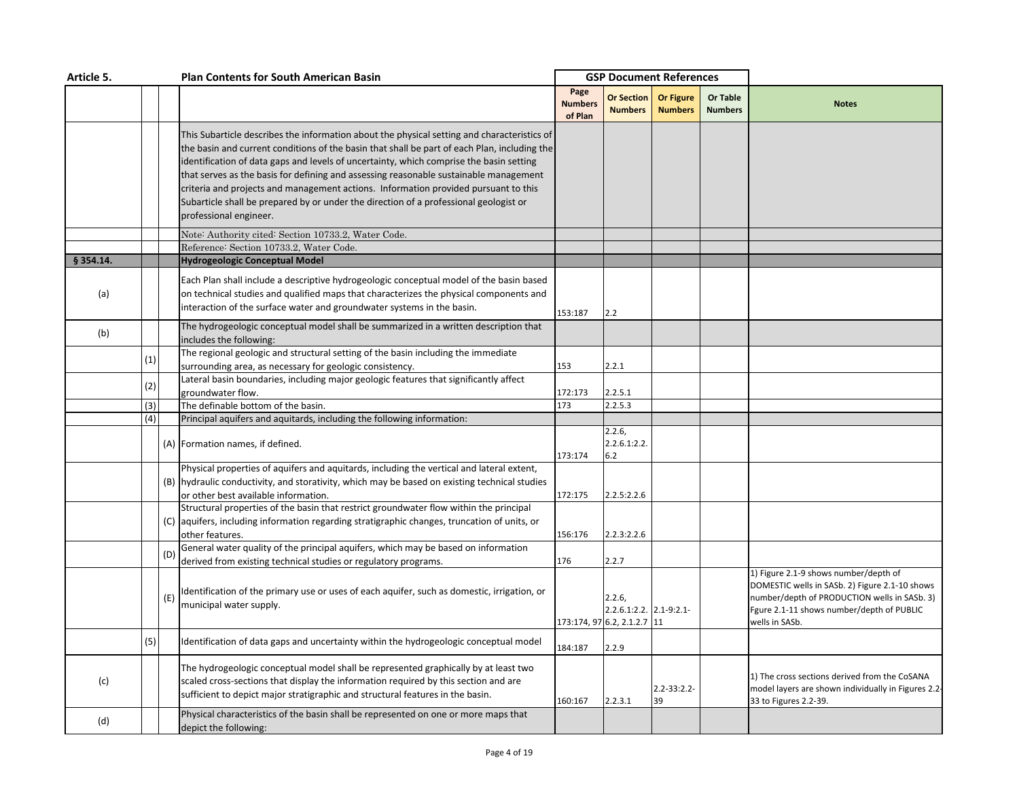| Article 5. |     |     | <b>Plan Contents for South American Basin</b>                                                                                                                                                                                                                                                                                                                                                                                                                                                                                                                                             |                                   | <b>GSP Document References</b>                                  |                                    |                                   |                                                                                                                                                                                                        |
|------------|-----|-----|-------------------------------------------------------------------------------------------------------------------------------------------------------------------------------------------------------------------------------------------------------------------------------------------------------------------------------------------------------------------------------------------------------------------------------------------------------------------------------------------------------------------------------------------------------------------------------------------|-----------------------------------|-----------------------------------------------------------------|------------------------------------|-----------------------------------|--------------------------------------------------------------------------------------------------------------------------------------------------------------------------------------------------------|
|            |     |     |                                                                                                                                                                                                                                                                                                                                                                                                                                                                                                                                                                                           | Page<br><b>Numbers</b><br>of Plan | <b>Or Section</b><br><b>Numbers</b>                             | <b>Or Figure</b><br><b>Numbers</b> | <b>Or Table</b><br><b>Numbers</b> | <b>Notes</b>                                                                                                                                                                                           |
|            |     |     | This Subarticle describes the information about the physical setting and characteristics of<br>the basin and current conditions of the basin that shall be part of each Plan, including the<br>identification of data gaps and levels of uncertainty, which comprise the basin setting<br>that serves as the basis for defining and assessing reasonable sustainable management<br>criteria and projects and management actions. Information provided pursuant to this<br>Subarticle shall be prepared by or under the direction of a professional geologist or<br>professional engineer. |                                   |                                                                 |                                    |                                   |                                                                                                                                                                                                        |
|            |     |     | Note: Authority cited: Section 10733.2, Water Code.                                                                                                                                                                                                                                                                                                                                                                                                                                                                                                                                       |                                   |                                                                 |                                    |                                   |                                                                                                                                                                                                        |
|            |     |     | Reference: Section 10733.2, Water Code.                                                                                                                                                                                                                                                                                                                                                                                                                                                                                                                                                   |                                   |                                                                 |                                    |                                   |                                                                                                                                                                                                        |
| § 354.14.  |     |     | <b>Hydrogeologic Conceptual Model</b>                                                                                                                                                                                                                                                                                                                                                                                                                                                                                                                                                     |                                   |                                                                 |                                    |                                   |                                                                                                                                                                                                        |
| (a)        |     |     | Each Plan shall include a descriptive hydrogeologic conceptual model of the basin based<br>on technical studies and qualified maps that characterizes the physical components and<br>interaction of the surface water and groundwater systems in the basin.                                                                                                                                                                                                                                                                                                                               | 153:187                           | 2.2                                                             |                                    |                                   |                                                                                                                                                                                                        |
| (b)        |     |     | The hydrogeologic conceptual model shall be summarized in a written description that<br>includes the following:                                                                                                                                                                                                                                                                                                                                                                                                                                                                           |                                   |                                                                 |                                    |                                   |                                                                                                                                                                                                        |
|            |     |     | The regional geologic and structural setting of the basin including the immediate                                                                                                                                                                                                                                                                                                                                                                                                                                                                                                         |                                   |                                                                 |                                    |                                   |                                                                                                                                                                                                        |
|            | (1) |     | surrounding area, as necessary for geologic consistency.                                                                                                                                                                                                                                                                                                                                                                                                                                                                                                                                  | 153                               | 2.2.1                                                           |                                    |                                   |                                                                                                                                                                                                        |
|            | (2) |     | Lateral basin boundaries, including major geologic features that significantly affect                                                                                                                                                                                                                                                                                                                                                                                                                                                                                                     |                                   |                                                                 |                                    |                                   |                                                                                                                                                                                                        |
|            |     |     | groundwater flow.                                                                                                                                                                                                                                                                                                                                                                                                                                                                                                                                                                         | 172:173                           | 2.2.5.1                                                         |                                    |                                   |                                                                                                                                                                                                        |
|            | (3) |     | The definable bottom of the basin.                                                                                                                                                                                                                                                                                                                                                                                                                                                                                                                                                        | 173                               | 2.2.5.3                                                         |                                    |                                   |                                                                                                                                                                                                        |
|            | (4) |     | Principal aquifers and aquitards, including the following information:                                                                                                                                                                                                                                                                                                                                                                                                                                                                                                                    |                                   |                                                                 |                                    |                                   |                                                                                                                                                                                                        |
|            |     |     | (A) Formation names, if defined.                                                                                                                                                                                                                                                                                                                                                                                                                                                                                                                                                          | 173:174                           | 2.2.6,<br>2.2.6.1:2.2.<br>6.2                                   |                                    |                                   |                                                                                                                                                                                                        |
|            |     |     | Physical properties of aquifers and aquitards, including the vertical and lateral extent,                                                                                                                                                                                                                                                                                                                                                                                                                                                                                                 |                                   |                                                                 |                                    |                                   |                                                                                                                                                                                                        |
|            |     |     | (B) hydraulic conductivity, and storativity, which may be based on existing technical studies                                                                                                                                                                                                                                                                                                                                                                                                                                                                                             |                                   |                                                                 |                                    |                                   |                                                                                                                                                                                                        |
|            |     |     | or other best available information.                                                                                                                                                                                                                                                                                                                                                                                                                                                                                                                                                      | 172:175                           | 2.2.5:2.2.6                                                     |                                    |                                   |                                                                                                                                                                                                        |
|            |     |     | Structural properties of the basin that restrict groundwater flow within the principal                                                                                                                                                                                                                                                                                                                                                                                                                                                                                                    |                                   |                                                                 |                                    |                                   |                                                                                                                                                                                                        |
|            |     |     | (C) aquifers, including information regarding stratigraphic changes, truncation of units, or                                                                                                                                                                                                                                                                                                                                                                                                                                                                                              |                                   |                                                                 |                                    |                                   |                                                                                                                                                                                                        |
|            |     |     | other features.<br>General water quality of the principal aquifers, which may be based on information                                                                                                                                                                                                                                                                                                                                                                                                                                                                                     | 156:176                           | 2.2.3:2.2.6                                                     |                                    |                                   |                                                                                                                                                                                                        |
|            |     | (D) | derived from existing technical studies or regulatory programs.                                                                                                                                                                                                                                                                                                                                                                                                                                                                                                                           | 176                               | 2.2.7                                                           |                                    |                                   |                                                                                                                                                                                                        |
|            |     | (E) | Identification of the primary use or uses of each aquifer, such as domestic, irrigation, or<br>municipal water supply.                                                                                                                                                                                                                                                                                                                                                                                                                                                                    |                                   | 2.2.6<br>2.2.6.1:2.2. 2.1-9:2.1-<br>173:174, 97 6.2, 2.1.2.7 11 |                                    |                                   | 1) Figure 2.1-9 shows number/depth of<br>DOMESTIC wells in SASb. 2) Figure 2.1-10 shows<br>number/depth of PRODUCTION wells in SASb. 3)<br>Fgure 2.1-11 shows number/depth of PUBLIC<br>wells in SASb. |
|            | (5) |     | Identification of data gaps and uncertainty within the hydrogeologic conceptual model                                                                                                                                                                                                                                                                                                                                                                                                                                                                                                     | 184:187                           | 2.2.9                                                           |                                    |                                   |                                                                                                                                                                                                        |
| (c)        |     |     | The hydrogeologic conceptual model shall be represented graphically by at least two<br>scaled cross-sections that display the information required by this section and are<br>sufficient to depict major stratigraphic and structural features in the basin.                                                                                                                                                                                                                                                                                                                              | 160:167                           | 2.2.3.1                                                         | $2.2 - 33:2.2$<br>39               |                                   | 1) The cross sections derived from the CoSANA<br>model layers are shown individually in Figures 2.2-<br>33 to Figures 2.2-39.                                                                          |
| (d)        |     |     | Physical characteristics of the basin shall be represented on one or more maps that<br>depict the following:                                                                                                                                                                                                                                                                                                                                                                                                                                                                              |                                   |                                                                 |                                    |                                   |                                                                                                                                                                                                        |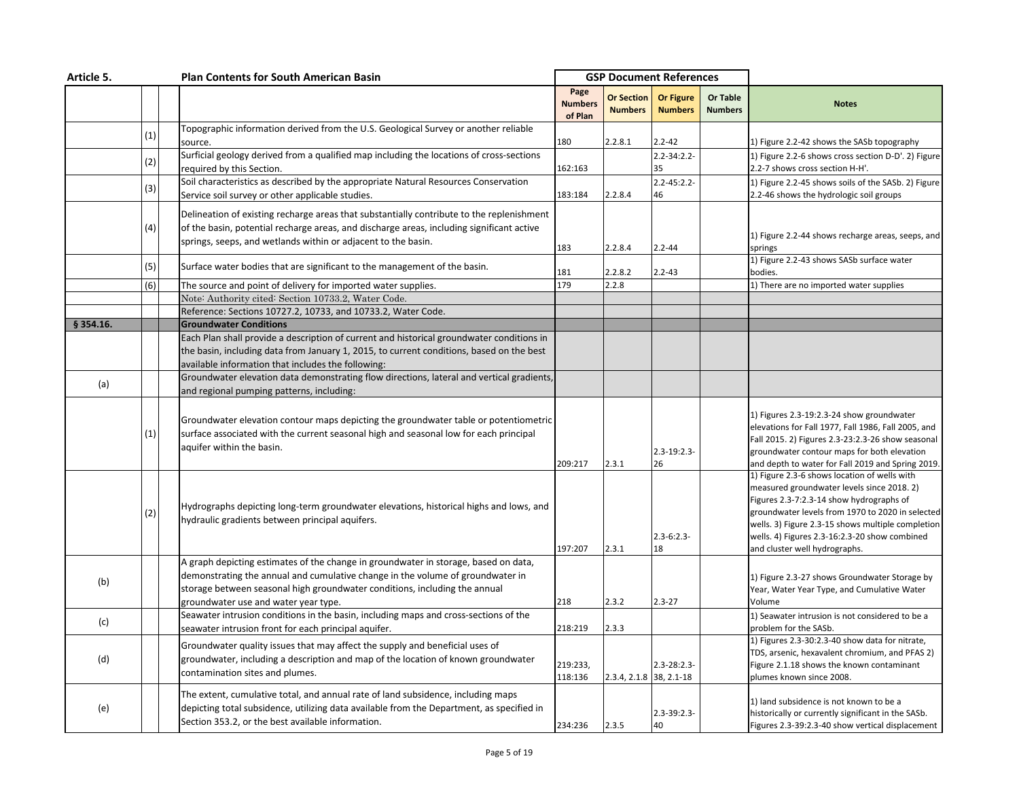| Article 5. |     | <b>Plan Contents for South American Basin</b>                                                                                                                                                                                                           |                                   | <b>GSP Document References</b> |                                    |                            |                                                                                                                                                                                                                                                                                                                                   |
|------------|-----|---------------------------------------------------------------------------------------------------------------------------------------------------------------------------------------------------------------------------------------------------------|-----------------------------------|--------------------------------|------------------------------------|----------------------------|-----------------------------------------------------------------------------------------------------------------------------------------------------------------------------------------------------------------------------------------------------------------------------------------------------------------------------------|
|            |     |                                                                                                                                                                                                                                                         | Page<br><b>Numbers</b><br>of Plan | Or Section<br><b>Numbers</b>   | <b>Or Figure</b><br><b>Numbers</b> | Or Table<br><b>Numbers</b> | <b>Notes</b>                                                                                                                                                                                                                                                                                                                      |
|            | (1) | Topographic information derived from the U.S. Geological Survey or another reliable                                                                                                                                                                     |                                   |                                |                                    |                            |                                                                                                                                                                                                                                                                                                                                   |
|            |     | source.                                                                                                                                                                                                                                                 | 180                               | 2.2.8.1                        | $2.2 - 42$                         |                            | 1) Figure 2.2-42 shows the SASb topography                                                                                                                                                                                                                                                                                        |
|            | (2) | Surficial geology derived from a qualified map including the locations of cross-sections                                                                                                                                                                |                                   |                                | $2.2 - 34:2.2 -$                   |                            | 1) Figure 2.2-6 shows cross section D-D'. 2) Figure                                                                                                                                                                                                                                                                               |
|            |     | required by this Section.                                                                                                                                                                                                                               | 162:163                           |                                | 35                                 |                            | 2.2-7 shows cross section H-H'.                                                                                                                                                                                                                                                                                                   |
|            | (3) | Soil characteristics as described by the appropriate Natural Resources Conservation                                                                                                                                                                     |                                   |                                | $2.2 - 45:2.2 -$                   |                            | 1) Figure 2.2-45 shows soils of the SASb. 2) Figure                                                                                                                                                                                                                                                                               |
|            |     | Service soil survey or other applicable studies.                                                                                                                                                                                                        | 183:184                           | 2.2.8.4                        | 46                                 |                            | 2.2-46 shows the hydrologic soil groups                                                                                                                                                                                                                                                                                           |
|            | (4) | Delineation of existing recharge areas that substantially contribute to the replenishment<br>of the basin, potential recharge areas, and discharge areas, including significant active<br>springs, seeps, and wetlands within or adjacent to the basin. | 183                               | 2.2.8.4                        | $2.2 - 44$                         |                            | 1) Figure 2.2-44 shows recharge areas, seeps, and<br>springs                                                                                                                                                                                                                                                                      |
|            | (5) | Surface water bodies that are significant to the management of the basin.                                                                                                                                                                               | 181                               | 2.2.8.2                        | $2.2 - 43$                         |                            | 1) Figure 2.2-43 shows SASb surface water<br>bodies.                                                                                                                                                                                                                                                                              |
|            | (6) | The source and point of delivery for imported water supplies.                                                                                                                                                                                           | 179                               | 2.2.8                          |                                    |                            | 1) There are no imported water supplies                                                                                                                                                                                                                                                                                           |
|            |     | Note: Authority cited: Section 10733.2, Water Code.                                                                                                                                                                                                     |                                   |                                |                                    |                            |                                                                                                                                                                                                                                                                                                                                   |
|            |     | Reference: Sections 10727.2, 10733, and 10733.2, Water Code.                                                                                                                                                                                            |                                   |                                |                                    |                            |                                                                                                                                                                                                                                                                                                                                   |
| § 354.16.  |     | <b>Groundwater Conditions</b>                                                                                                                                                                                                                           |                                   |                                |                                    |                            |                                                                                                                                                                                                                                                                                                                                   |
|            |     | Each Plan shall provide a description of current and historical groundwater conditions in                                                                                                                                                               |                                   |                                |                                    |                            |                                                                                                                                                                                                                                                                                                                                   |
|            |     | the basin, including data from January 1, 2015, to current conditions, based on the best                                                                                                                                                                |                                   |                                |                                    |                            |                                                                                                                                                                                                                                                                                                                                   |
|            |     | available information that includes the following:                                                                                                                                                                                                      |                                   |                                |                                    |                            |                                                                                                                                                                                                                                                                                                                                   |
|            |     | Groundwater elevation data demonstrating flow directions, lateral and vertical gradients,                                                                                                                                                               |                                   |                                |                                    |                            |                                                                                                                                                                                                                                                                                                                                   |
| (a)        |     | and regional pumping patterns, including:                                                                                                                                                                                                               |                                   |                                |                                    |                            |                                                                                                                                                                                                                                                                                                                                   |
|            | (1) | Groundwater elevation contour maps depicting the groundwater table or potentiometric<br>surface associated with the current seasonal high and seasonal low for each principal<br>aquifer within the basin.                                              | 209:217                           | 2.3.1                          | $2.3 - 19:2.3 -$<br>26             |                            | 1) Figures 2.3-19:2.3-24 show groundwater<br>elevations for Fall 1977, Fall 1986, Fall 2005, and<br>Fall 2015. 2) Figures 2.3-23:2.3-26 show seasonal<br>groundwater contour maps for both elevation<br>and depth to water for Fall 2019 and Spring 2019.                                                                         |
|            | (2) | Hydrographs depicting long-term groundwater elevations, historical highs and lows, and<br>hydraulic gradients between principal aquifers.                                                                                                               | 197:207                           | 2.3.1                          | $2.3 - 6:2.3 -$<br>18              |                            | 1) Figure 2.3-6 shows location of wells with<br>measured groundwater levels since 2018. 2)<br>Figures 2.3-7:2.3-14 show hydrographs of<br>groundwater levels from 1970 to 2020 in selected<br>wells. 3) Figure 2.3-15 shows multiple completion<br>wells. 4) Figures 2.3-16:2.3-20 show combined<br>and cluster well hydrographs. |
|            |     | A graph depicting estimates of the change in groundwater in storage, based on data,                                                                                                                                                                     |                                   |                                |                                    |                            |                                                                                                                                                                                                                                                                                                                                   |
| (b)        |     | demonstrating the annual and cumulative change in the volume of groundwater in                                                                                                                                                                          |                                   |                                |                                    |                            | 1) Figure 2.3-27 shows Groundwater Storage by                                                                                                                                                                                                                                                                                     |
|            |     | storage between seasonal high groundwater conditions, including the annual                                                                                                                                                                              |                                   |                                |                                    |                            | Year, Water Year Type, and Cumulative Water                                                                                                                                                                                                                                                                                       |
|            |     | groundwater use and water year type.                                                                                                                                                                                                                    | 218                               | 2.3.2                          | $2.3 - 27$                         |                            | Volume                                                                                                                                                                                                                                                                                                                            |
|            |     | Seawater intrusion conditions in the basin, including maps and cross-sections of the                                                                                                                                                                    |                                   |                                |                                    |                            | 1) Seawater intrusion is not considered to be a                                                                                                                                                                                                                                                                                   |
| (c)        |     | seawater intrusion front for each principal aquifer.                                                                                                                                                                                                    | 218:219                           | 2.3.3                          |                                    |                            | problem for the SASb.                                                                                                                                                                                                                                                                                                             |
| (d)        |     | Groundwater quality issues that may affect the supply and beneficial uses of<br>groundwater, including a description and map of the location of known groundwater<br>contamination sites and plumes.                                                    | 219:233,<br>118:136               | 2.3.4, 2.1.8 38, 2.1-18        | $2.3 - 28:2.3$                     |                            | 1) Figures 2.3-30:2.3-40 show data for nitrate,<br>TDS, arsenic, hexavalent chromium, and PFAS 2)<br>Figure 2.1.18 shows the known contaminant<br>plumes known since 2008.                                                                                                                                                        |
| (e)        |     | The extent, cumulative total, and annual rate of land subsidence, including maps<br>depicting total subsidence, utilizing data available from the Department, as specified in<br>Section 353.2, or the best available information.                      | 234:236                           | 2.3.5                          | $2.3 - 39:2.3 -$<br>40             |                            | 1) land subsidence is not known to be a<br>historically or currently significant in the SASb.<br>Figures 2.3-39:2.3-40 show vertical displacement                                                                                                                                                                                 |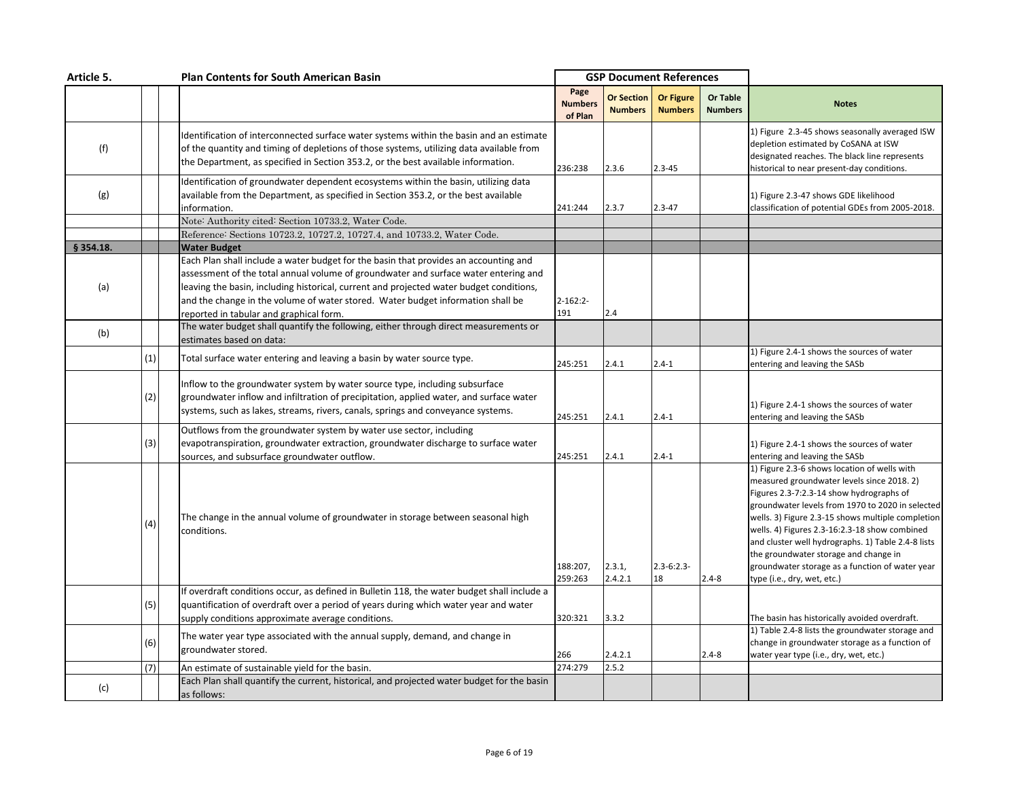| Article 5. |     | <b>Plan Contents for South American Basin</b>                                                                                                                                                                                                                                                                                                                                                                               | <b>GSP Document References</b>    |                                     |                                    |                            |                                                                                                                                                                                                                                                                                                                                                                                                                                                                                   |
|------------|-----|-----------------------------------------------------------------------------------------------------------------------------------------------------------------------------------------------------------------------------------------------------------------------------------------------------------------------------------------------------------------------------------------------------------------------------|-----------------------------------|-------------------------------------|------------------------------------|----------------------------|-----------------------------------------------------------------------------------------------------------------------------------------------------------------------------------------------------------------------------------------------------------------------------------------------------------------------------------------------------------------------------------------------------------------------------------------------------------------------------------|
|            |     |                                                                                                                                                                                                                                                                                                                                                                                                                             | Page<br><b>Numbers</b><br>of Plan | <b>Or Section</b><br><b>Numbers</b> | <b>Or Figure</b><br><b>Numbers</b> | Or Table<br><b>Numbers</b> | <b>Notes</b>                                                                                                                                                                                                                                                                                                                                                                                                                                                                      |
| (f)        |     | Identification of interconnected surface water systems within the basin and an estimate<br>of the quantity and timing of depletions of those systems, utilizing data available from<br>the Department, as specified in Section 353.2, or the best available information.                                                                                                                                                    | 236:238                           | 2.3.6                               | $2.3 - 45$                         |                            | 1) Figure 2.3-45 shows seasonally averaged ISW<br>depletion estimated by CoSANA at ISW<br>designated reaches. The black line represents<br>historical to near present-day conditions.                                                                                                                                                                                                                                                                                             |
| (g)        |     | Identification of groundwater dependent ecosystems within the basin, utilizing data<br>available from the Department, as specified in Section 353.2, or the best available<br>information.                                                                                                                                                                                                                                  | 241:244                           | 2.3.7                               | $2.3 - 47$                         |                            | 1) Figure 2.3-47 shows GDE likelihood<br>classification of potential GDEs from 2005-2018.                                                                                                                                                                                                                                                                                                                                                                                         |
|            |     | Note: Authority cited: Section 10733.2, Water Code.                                                                                                                                                                                                                                                                                                                                                                         |                                   |                                     |                                    |                            |                                                                                                                                                                                                                                                                                                                                                                                                                                                                                   |
| § 354.18.  |     | Reference: Sections 10723.2, 10727.2, 10727.4, and 10733.2, Water Code.                                                                                                                                                                                                                                                                                                                                                     |                                   |                                     |                                    |                            |                                                                                                                                                                                                                                                                                                                                                                                                                                                                                   |
| (a)        |     | <b>Water Budget</b><br>Each Plan shall include a water budget for the basin that provides an accounting and<br>assessment of the total annual volume of groundwater and surface water entering and<br>leaving the basin, including historical, current and projected water budget conditions,<br>and the change in the volume of water stored. Water budget information shall be<br>reported in tabular and graphical form. | $2 - 162:2 -$<br>191              | 2.4                                 |                                    |                            |                                                                                                                                                                                                                                                                                                                                                                                                                                                                                   |
| (b)        |     | The water budget shall quantify the following, either through direct measurements or<br>estimates based on data:                                                                                                                                                                                                                                                                                                            |                                   |                                     |                                    |                            |                                                                                                                                                                                                                                                                                                                                                                                                                                                                                   |
|            | (1) | Total surface water entering and leaving a basin by water source type.                                                                                                                                                                                                                                                                                                                                                      | 245:251                           | 2.4.1                               | $2.4 - 1$                          |                            | 1) Figure 2.4-1 shows the sources of water<br>entering and leaving the SASb                                                                                                                                                                                                                                                                                                                                                                                                       |
|            | (2) | Inflow to the groundwater system by water source type, including subsurface<br>groundwater inflow and infiltration of precipitation, applied water, and surface water<br>systems, such as lakes, streams, rivers, canals, springs and conveyance systems.                                                                                                                                                                   | 245:251                           | 2.4.1                               | $2.4 - 1$                          |                            | 1) Figure 2.4-1 shows the sources of water<br>entering and leaving the SASb                                                                                                                                                                                                                                                                                                                                                                                                       |
|            | (3) | Outflows from the groundwater system by water use sector, including<br>evapotranspiration, groundwater extraction, groundwater discharge to surface water<br>sources, and subsurface groundwater outflow.                                                                                                                                                                                                                   | 245:251                           | 2.4.1                               | $2.4 - 1$                          |                            | 1) Figure 2.4-1 shows the sources of water<br>entering and leaving the SASb                                                                                                                                                                                                                                                                                                                                                                                                       |
|            | (4) | The change in the annual volume of groundwater in storage between seasonal high<br>conditions.                                                                                                                                                                                                                                                                                                                              | 188:207,<br>259:263               | 2.3.1,<br>2.4.2.1                   | $2.3 - 6:2.3 -$<br>18              | $2.4 - 8$                  | 1) Figure 2.3-6 shows location of wells with<br>measured groundwater levels since 2018. 2)<br>Figures 2.3-7:2.3-14 show hydrographs of<br>groundwater levels from 1970 to 2020 in selected<br>wells. 3) Figure 2.3-15 shows multiple completion<br>wells. 4) Figures 2.3-16:2.3-18 show combined<br>and cluster well hydrographs. 1) Table 2.4-8 lists<br>the groundwater storage and change in<br>groundwater storage as a function of water year<br>type (i.e., dry, wet, etc.) |
|            | (5) | If overdraft conditions occur, as defined in Bulletin 118, the water budget shall include a<br>quantification of overdraft over a period of years during which water year and water<br>supply conditions approximate average conditions.                                                                                                                                                                                    | 320:321                           | 3.3.2                               |                                    |                            | The basin has historically avoided overdraft.                                                                                                                                                                                                                                                                                                                                                                                                                                     |
|            | (6) | The water year type associated with the annual supply, demand, and change in<br>groundwater stored.                                                                                                                                                                                                                                                                                                                         | 266                               | 2.4.2.1                             |                                    | $2.4 - 8$                  | 1) Table 2.4-8 lists the groundwater storage and<br>change in groundwater storage as a function of<br>water year type (i.e., dry, wet, etc.)                                                                                                                                                                                                                                                                                                                                      |
|            | (7) | An estimate of sustainable yield for the basin.                                                                                                                                                                                                                                                                                                                                                                             | 274:279                           | 2.5.2                               |                                    |                            |                                                                                                                                                                                                                                                                                                                                                                                                                                                                                   |
| (c)        |     | Each Plan shall quantify the current, historical, and projected water budget for the basin<br>as follows:                                                                                                                                                                                                                                                                                                                   |                                   |                                     |                                    |                            |                                                                                                                                                                                                                                                                                                                                                                                                                                                                                   |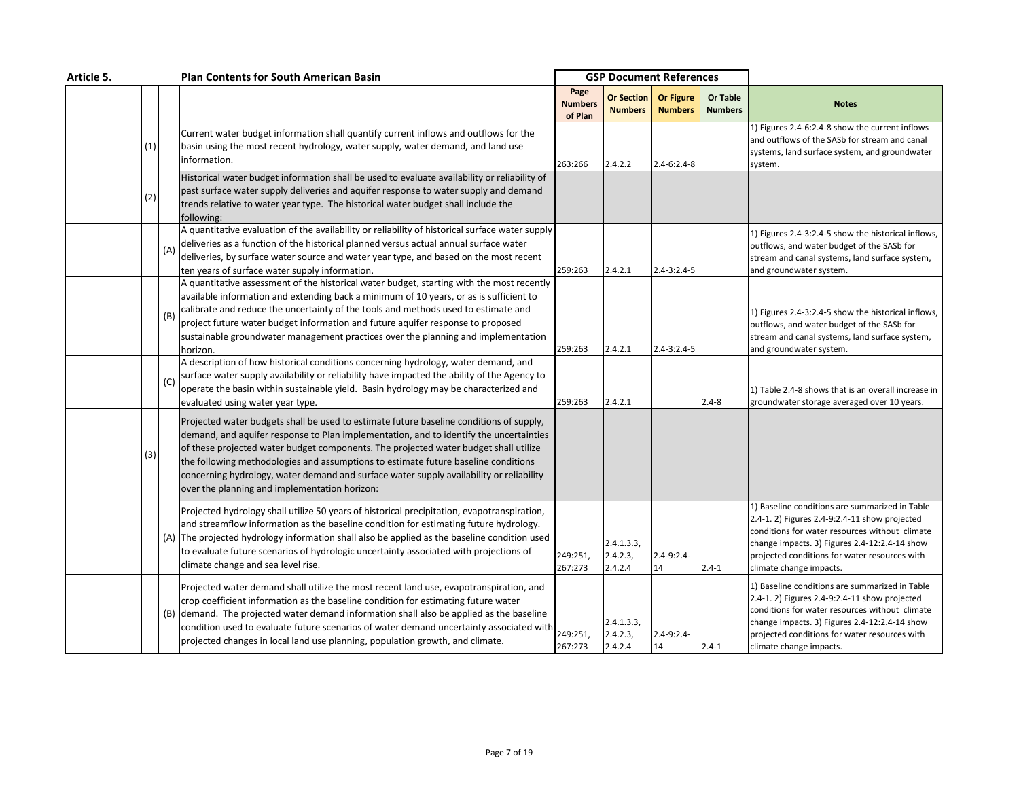| Article 5. |     |     | <b>Plan Contents for South American Basin</b>                                                                                                                                                                                                                                                                                                                                                                                                                                                               |                                   |                                     | <b>GSP Document References</b>     |                                   |                                                                                                                                                                                                                                                                                |
|------------|-----|-----|-------------------------------------------------------------------------------------------------------------------------------------------------------------------------------------------------------------------------------------------------------------------------------------------------------------------------------------------------------------------------------------------------------------------------------------------------------------------------------------------------------------|-----------------------------------|-------------------------------------|------------------------------------|-----------------------------------|--------------------------------------------------------------------------------------------------------------------------------------------------------------------------------------------------------------------------------------------------------------------------------|
|            |     |     |                                                                                                                                                                                                                                                                                                                                                                                                                                                                                                             | Page<br><b>Numbers</b><br>of Plan | <b>Or Section</b><br><b>Numbers</b> | <b>Or Figure</b><br><b>Numbers</b> | <b>Or Table</b><br><b>Numbers</b> | <b>Notes</b>                                                                                                                                                                                                                                                                   |
|            | (1) |     | Current water budget information shall quantify current inflows and outflows for the<br>basin using the most recent hydrology, water supply, water demand, and land use<br>information.                                                                                                                                                                                                                                                                                                                     | 263:266                           | 2.4.2.2                             | $2.4 - 6:2.4 - 8$                  |                                   | 1) Figures 2.4-6:2.4-8 show the current inflows<br>and outflows of the SASb for stream and canal<br>systems, land surface system, and groundwater<br>system.                                                                                                                   |
|            | (2) |     | Historical water budget information shall be used to evaluate availability or reliability of<br>past surface water supply deliveries and aquifer response to water supply and demand<br>trends relative to water year type. The historical water budget shall include the<br>following:                                                                                                                                                                                                                     |                                   |                                     |                                    |                                   |                                                                                                                                                                                                                                                                                |
|            |     | (A) | A quantitative evaluation of the availability or reliability of historical surface water supply<br>deliveries as a function of the historical planned versus actual annual surface water<br>deliveries, by surface water source and water year type, and based on the most recent<br>ten years of surface water supply information.                                                                                                                                                                         | 259:263                           | 2.4.2.1                             | $2.4 - 3:2.4 - 5$                  |                                   | 1) Figures 2.4-3:2.4-5 show the historical inflows,<br>outflows, and water budget of the SASb for<br>stream and canal systems, land surface system,<br>and groundwater system.                                                                                                 |
|            |     | (B) | A quantitative assessment of the historical water budget, starting with the most recently<br>available information and extending back a minimum of 10 years, or as is sufficient to<br>calibrate and reduce the uncertainty of the tools and methods used to estimate and<br>project future water budget information and future aquifer response to proposed<br>sustainable groundwater management practices over the planning and implementation<br>horizon.                                               | 259:263                           | 2.4.2.1                             | $2.4 - 3:2.4 - 5$                  |                                   | 1) Figures 2.4-3:2.4-5 show the historical inflows,<br>outflows, and water budget of the SASb for<br>stream and canal systems, land surface system,<br>and groundwater system.                                                                                                 |
|            |     | (C) | A description of how historical conditions concerning hydrology, water demand, and<br>surface water supply availability or reliability have impacted the ability of the Agency to<br>operate the basin within sustainable yield. Basin hydrology may be characterized and<br>evaluated using water year type.                                                                                                                                                                                               | 259:263                           | 2.4.2.1                             |                                    | $2.4 - 8$                         | 1) Table 2.4-8 shows that is an overall increase in<br>groundwater storage averaged over 10 years.                                                                                                                                                                             |
|            | (3) |     | Projected water budgets shall be used to estimate future baseline conditions of supply,<br>demand, and aquifer response to Plan implementation, and to identify the uncertainties<br>of these projected water budget components. The projected water budget shall utilize<br>the following methodologies and assumptions to estimate future baseline conditions<br>concerning hydrology, water demand and surface water supply availability or reliability<br>over the planning and implementation horizon: |                                   |                                     |                                    |                                   |                                                                                                                                                                                                                                                                                |
|            |     |     | Projected hydrology shall utilize 50 years of historical precipitation, evapotranspiration,<br>and streamflow information as the baseline condition for estimating future hydrology.<br>(A) The projected hydrology information shall also be applied as the baseline condition used<br>to evaluate future scenarios of hydrologic uncertainty associated with projections of<br>climate change and sea level rise.                                                                                         | 249:251,<br>267:273               | 2.4.1.3.3<br>2.4.2.3,<br>2.4.2.4    | $2.4 - 9:2.4 -$<br>14              | $2.4 - 1$                         | 1) Baseline conditions are summarized in Table<br>2.4-1. 2) Figures 2.4-9:2.4-11 show projected<br>conditions for water resources without climate<br>change impacts. 3) Figures 2.4-12:2.4-14 show<br>projected conditions for water resources with<br>climate change impacts. |
|            |     |     | Projected water demand shall utilize the most recent land use, evapotranspiration, and<br>crop coefficient information as the baseline condition for estimating future water<br>(B) demand. The projected water demand information shall also be applied as the baseline<br>condition used to evaluate future scenarios of water demand uncertainty associated with<br>projected changes in local land use planning, population growth, and climate.                                                        | 249:251,<br>267:273               | 2.4.1.3.3,<br>2.4.2.3,<br>2.4.2.4   | $2.4 - 9:2.4 -$<br>14              | $2.4 - 1$                         | 1) Baseline conditions are summarized in Table<br>2.4-1. 2) Figures 2.4-9:2.4-11 show projected<br>conditions for water resources without climate<br>change impacts. 3) Figures 2.4-12:2.4-14 show<br>projected conditions for water resources with<br>climate change impacts. |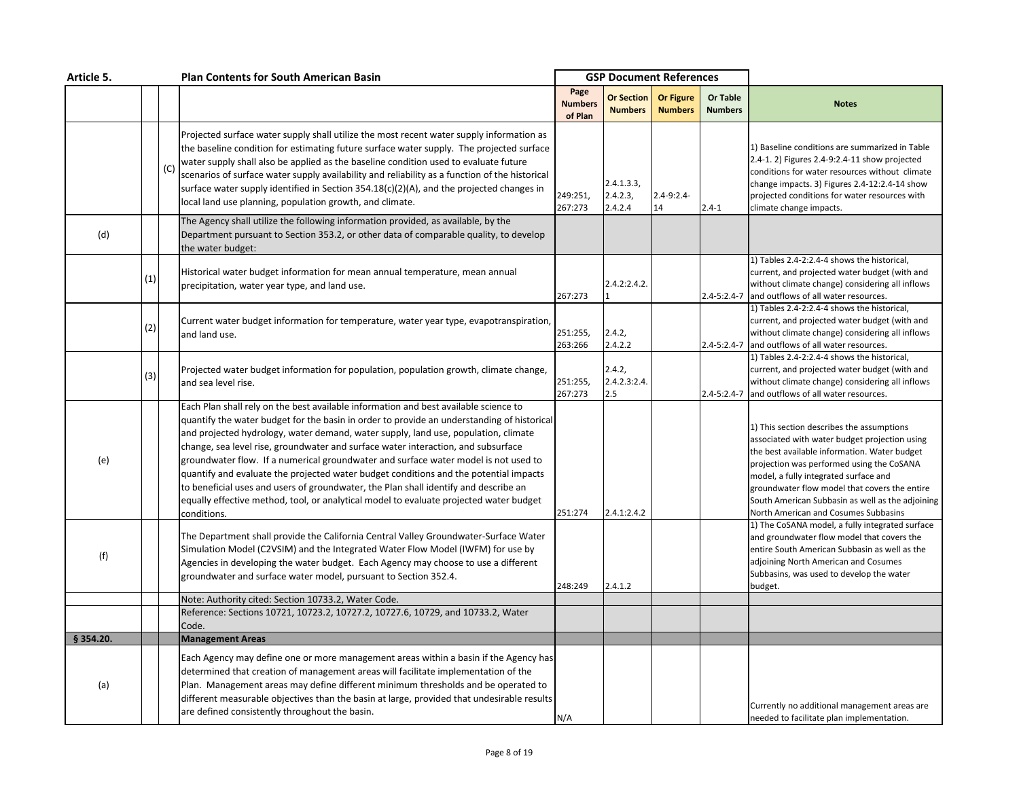| Article 5. |     |     | <b>Plan Contents for South American Basin</b>                                                                                                                                                                                                                                                                                                                                                                                                                                                                                                                                                                                                                                                                                                  |                                   | <b>GSP Document References</b>      |                                    |                            |                                                                                                                                                                                                                                                                                                                                                                               |
|------------|-----|-----|------------------------------------------------------------------------------------------------------------------------------------------------------------------------------------------------------------------------------------------------------------------------------------------------------------------------------------------------------------------------------------------------------------------------------------------------------------------------------------------------------------------------------------------------------------------------------------------------------------------------------------------------------------------------------------------------------------------------------------------------|-----------------------------------|-------------------------------------|------------------------------------|----------------------------|-------------------------------------------------------------------------------------------------------------------------------------------------------------------------------------------------------------------------------------------------------------------------------------------------------------------------------------------------------------------------------|
|            |     |     |                                                                                                                                                                                                                                                                                                                                                                                                                                                                                                                                                                                                                                                                                                                                                | Page<br><b>Numbers</b><br>of Plan | <b>Or Section</b><br><b>Numbers</b> | <b>Or Figure</b><br><b>Numbers</b> | Or Table<br><b>Numbers</b> | <b>Notes</b>                                                                                                                                                                                                                                                                                                                                                                  |
|            |     | (C) | Projected surface water supply shall utilize the most recent water supply information as<br>the baseline condition for estimating future surface water supply. The projected surface<br>water supply shall also be applied as the baseline condition used to evaluate future<br>scenarios of surface water supply availability and reliability as a function of the historical<br>surface water supply identified in Section 354.18(c)(2)(A), and the projected changes in<br>local land use planning, population growth, and climate.                                                                                                                                                                                                         | 249:251,<br>267:273               | 2.4.1.3.3<br>2.4.2.3,<br>2.4.2.4    | $2.4 - 9:2.4 -$<br>14              | $2.4 - 1$                  | 1) Baseline conditions are summarized in Table<br>2.4-1. 2) Figures 2.4-9:2.4-11 show projected<br>conditions for water resources without climate<br>change impacts. 3) Figures 2.4-12:2.4-14 show<br>projected conditions for water resources with<br>climate change impacts.                                                                                                |
| (d)        |     |     | The Agency shall utilize the following information provided, as available, by the<br>Department pursuant to Section 353.2, or other data of comparable quality, to develop<br>the water budget:                                                                                                                                                                                                                                                                                                                                                                                                                                                                                                                                                |                                   |                                     |                                    |                            |                                                                                                                                                                                                                                                                                                                                                                               |
|            | (1) |     | Historical water budget information for mean annual temperature, mean annual<br>precipitation, water year type, and land use.                                                                                                                                                                                                                                                                                                                                                                                                                                                                                                                                                                                                                  | 267:273                           | 2.4.2:2.4.2.                        |                                    | 2.4-5:2.4-7                | 1) Tables 2.4-2:2.4-4 shows the historical,<br>current, and projected water budget (with and<br>without climate change) considering all inflows<br>and outflows of all water resources.                                                                                                                                                                                       |
|            | (2) |     | Current water budget information for temperature, water year type, evapotranspiration,<br>and land use.                                                                                                                                                                                                                                                                                                                                                                                                                                                                                                                                                                                                                                        | 251:255,<br>263:266               | 2.4.2,<br>2.4.2.2                   |                                    | 2.4-5:2.4-7                | 1) Tables 2.4-2:2.4-4 shows the historical,<br>current, and projected water budget (with and<br>without climate change) considering all inflows<br>and outflows of all water resources.                                                                                                                                                                                       |
|            | (3) |     | Projected water budget information for population, population growth, climate change,<br>and sea level rise.                                                                                                                                                                                                                                                                                                                                                                                                                                                                                                                                                                                                                                   | 251:255,<br>267:273               | 2.4.2,<br>2.4.2.3:2.4.<br>2.5       |                                    | 2.4-5:2.4-7                | 1) Tables 2.4-2:2.4-4 shows the historical,<br>current, and projected water budget (with and<br>without climate change) considering all inflows<br>and outflows of all water resources.                                                                                                                                                                                       |
| (e)        |     |     | Each Plan shall rely on the best available information and best available science to<br>quantify the water budget for the basin in order to provide an understanding of historical<br>and projected hydrology, water demand, water supply, land use, population, climate<br>change, sea level rise, groundwater and surface water interaction, and subsurface<br>groundwater flow. If a numerical groundwater and surface water model is not used to<br>quantify and evaluate the projected water budget conditions and the potential impacts<br>to beneficial uses and users of groundwater, the Plan shall identify and describe an<br>equally effective method, tool, or analytical model to evaluate projected water budget<br>conditions. | 251:274                           | 2.4.1:2.4.2                         |                                    |                            | 1) This section describes the assumptions<br>associated with water budget projection using<br>the best available information. Water budget<br>projection was performed using the CoSANA<br>model, a fully integrated surface and<br>groundwater flow model that covers the entire<br>South American Subbasin as well as the adjoining<br>North American and Cosumes Subbasins |
| (f)        |     |     | The Department shall provide the California Central Valley Groundwater-Surface Water<br>Simulation Model (C2VSIM) and the Integrated Water Flow Model (IWFM) for use by<br>Agencies in developing the water budget. Each Agency may choose to use a different<br>groundwater and surface water model, pursuant to Section 352.4.                                                                                                                                                                                                                                                                                                                                                                                                               | 248:249                           | 2.4.1.2                             |                                    |                            | 1) The CoSANA model, a fully integrated surface<br>and groundwater flow model that covers the<br>entire South American Subbasin as well as the<br>adjoining North American and Cosumes<br>Subbasins, was used to develop the water<br>budget.                                                                                                                                 |
|            |     |     | Note: Authority cited: Section 10733.2, Water Code.<br>Reference: Sections 10721, 10723.2, 10727.2, 10727.6, 10729, and 10733.2, Water<br>Code.                                                                                                                                                                                                                                                                                                                                                                                                                                                                                                                                                                                                |                                   |                                     |                                    |                            |                                                                                                                                                                                                                                                                                                                                                                               |
| § 354.20.  |     |     | <b>Management Areas</b>                                                                                                                                                                                                                                                                                                                                                                                                                                                                                                                                                                                                                                                                                                                        |                                   |                                     |                                    |                            |                                                                                                                                                                                                                                                                                                                                                                               |
| (a)        |     |     | Each Agency may define one or more management areas within a basin if the Agency has<br>determined that creation of management areas will facilitate implementation of the<br>Plan. Management areas may define different minimum thresholds and be operated to<br>different measurable objectives than the basin at large, provided that undesirable results<br>are defined consistently throughout the basin.                                                                                                                                                                                                                                                                                                                                | N/A                               |                                     |                                    |                            | Currently no additional management areas are<br>needed to facilitate plan implementation.                                                                                                                                                                                                                                                                                     |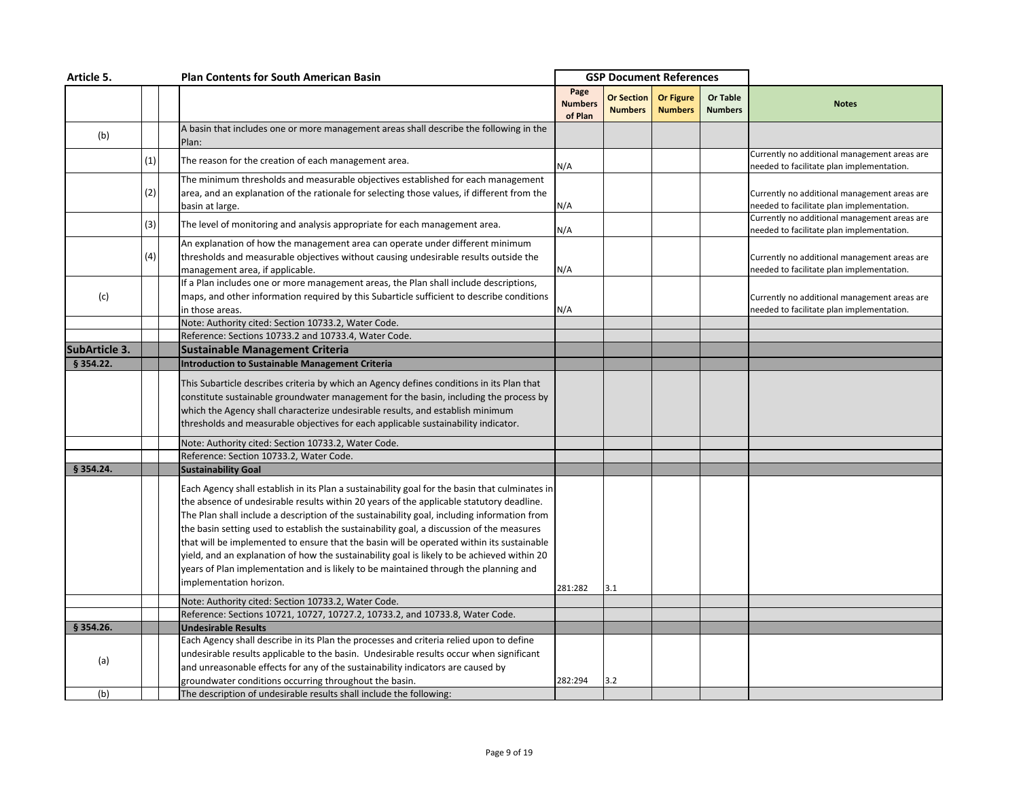| Article 5.    |     |  | <b>Plan Contents for South American Basin</b>                                                                                                                                                                                                                                                                                                                                                                                                                                                                                                                                                                                                                              |                                   | <b>GSP Document References</b> |                             |                                   |                                                                                           |
|---------------|-----|--|----------------------------------------------------------------------------------------------------------------------------------------------------------------------------------------------------------------------------------------------------------------------------------------------------------------------------------------------------------------------------------------------------------------------------------------------------------------------------------------------------------------------------------------------------------------------------------------------------------------------------------------------------------------------------|-----------------------------------|--------------------------------|-----------------------------|-----------------------------------|-------------------------------------------------------------------------------------------|
|               |     |  |                                                                                                                                                                                                                                                                                                                                                                                                                                                                                                                                                                                                                                                                            | Page<br><b>Numbers</b><br>of Plan | Or Section<br><b>Numbers</b>   | Or Figure<br><b>Numbers</b> | <b>Or Table</b><br><b>Numbers</b> | <b>Notes</b>                                                                              |
| (b)           |     |  | A basin that includes one or more management areas shall describe the following in the<br>Plan:                                                                                                                                                                                                                                                                                                                                                                                                                                                                                                                                                                            |                                   |                                |                             |                                   |                                                                                           |
|               | (1) |  | The reason for the creation of each management area.                                                                                                                                                                                                                                                                                                                                                                                                                                                                                                                                                                                                                       | N/A                               |                                |                             |                                   | Currently no additional management areas are<br>needed to facilitate plan implementation. |
|               | (2) |  | The minimum thresholds and measurable objectives established for each management<br>area, and an explanation of the rationale for selecting those values, if different from the<br>basin at large.                                                                                                                                                                                                                                                                                                                                                                                                                                                                         | N/A                               |                                |                             |                                   | Currently no additional management areas are<br>needed to facilitate plan implementation. |
|               | (3) |  | The level of monitoring and analysis appropriate for each management area.                                                                                                                                                                                                                                                                                                                                                                                                                                                                                                                                                                                                 | N/A                               |                                |                             |                                   | Currently no additional management areas are<br>needed to facilitate plan implementation. |
|               | (4) |  | An explanation of how the management area can operate under different minimum<br>thresholds and measurable objectives without causing undesirable results outside the<br>management area, if applicable.                                                                                                                                                                                                                                                                                                                                                                                                                                                                   | N/A                               |                                |                             |                                   | Currently no additional management areas are<br>needed to facilitate plan implementation. |
| (c)           |     |  | If a Plan includes one or more management areas, the Plan shall include descriptions,<br>maps, and other information required by this Subarticle sufficient to describe conditions<br>in those areas.                                                                                                                                                                                                                                                                                                                                                                                                                                                                      | N/A                               |                                |                             |                                   | Currently no additional management areas are<br>needed to facilitate plan implementation. |
|               |     |  | Note: Authority cited: Section 10733.2, Water Code.                                                                                                                                                                                                                                                                                                                                                                                                                                                                                                                                                                                                                        |                                   |                                |                             |                                   |                                                                                           |
|               |     |  | Reference: Sections 10733.2 and 10733.4, Water Code.                                                                                                                                                                                                                                                                                                                                                                                                                                                                                                                                                                                                                       |                                   |                                |                             |                                   |                                                                                           |
| SubArticle 3. |     |  | <b>Sustainable Management Criteria</b>                                                                                                                                                                                                                                                                                                                                                                                                                                                                                                                                                                                                                                     |                                   |                                |                             |                                   |                                                                                           |
| § 354.22.     |     |  | <b>Introduction to Sustainable Management Criteria</b>                                                                                                                                                                                                                                                                                                                                                                                                                                                                                                                                                                                                                     |                                   |                                |                             |                                   |                                                                                           |
|               |     |  | This Subarticle describes criteria by which an Agency defines conditions in its Plan that                                                                                                                                                                                                                                                                                                                                                                                                                                                                                                                                                                                  |                                   |                                |                             |                                   |                                                                                           |
|               |     |  | constitute sustainable groundwater management for the basin, including the process by                                                                                                                                                                                                                                                                                                                                                                                                                                                                                                                                                                                      |                                   |                                |                             |                                   |                                                                                           |
|               |     |  | which the Agency shall characterize undesirable results, and establish minimum                                                                                                                                                                                                                                                                                                                                                                                                                                                                                                                                                                                             |                                   |                                |                             |                                   |                                                                                           |
|               |     |  | thresholds and measurable objectives for each applicable sustainability indicator.                                                                                                                                                                                                                                                                                                                                                                                                                                                                                                                                                                                         |                                   |                                |                             |                                   |                                                                                           |
|               |     |  | Note: Authority cited: Section 10733.2, Water Code.                                                                                                                                                                                                                                                                                                                                                                                                                                                                                                                                                                                                                        |                                   |                                |                             |                                   |                                                                                           |
|               |     |  | Reference: Section 10733.2, Water Code.                                                                                                                                                                                                                                                                                                                                                                                                                                                                                                                                                                                                                                    |                                   |                                |                             |                                   |                                                                                           |
| § 354.24.     |     |  | <b>Sustainability Goal</b>                                                                                                                                                                                                                                                                                                                                                                                                                                                                                                                                                                                                                                                 |                                   |                                |                             |                                   |                                                                                           |
|               |     |  | Each Agency shall establish in its Plan a sustainability goal for the basin that culminates in<br>the absence of undesirable results within 20 years of the applicable statutory deadline.<br>The Plan shall include a description of the sustainability goal, including information from<br>the basin setting used to establish the sustainability goal, a discussion of the measures<br>that will be implemented to ensure that the basin will be operated within its sustainable<br>yield, and an explanation of how the sustainability goal is likely to be achieved within 20<br>years of Plan implementation and is likely to be maintained through the planning and |                                   |                                |                             |                                   |                                                                                           |
|               |     |  | implementation horizon.                                                                                                                                                                                                                                                                                                                                                                                                                                                                                                                                                                                                                                                    | 281:282                           | 3.1                            |                             |                                   |                                                                                           |
|               |     |  | Note: Authority cited: Section 10733.2, Water Code.                                                                                                                                                                                                                                                                                                                                                                                                                                                                                                                                                                                                                        |                                   |                                |                             |                                   |                                                                                           |
|               |     |  | Reference: Sections 10721, 10727, 10727.2, 10733.2, and 10733.8, Water Code.                                                                                                                                                                                                                                                                                                                                                                                                                                                                                                                                                                                               |                                   |                                |                             |                                   |                                                                                           |
| § 354.26.     |     |  | <b>Undesirable Results</b>                                                                                                                                                                                                                                                                                                                                                                                                                                                                                                                                                                                                                                                 |                                   |                                |                             |                                   |                                                                                           |
| (a)           |     |  | Each Agency shall describe in its Plan the processes and criteria relied upon to define<br>undesirable results applicable to the basin. Undesirable results occur when significant<br>and unreasonable effects for any of the sustainability indicators are caused by<br>groundwater conditions occurring throughout the basin.                                                                                                                                                                                                                                                                                                                                            | 282:294                           | 3.2                            |                             |                                   |                                                                                           |
| (b)           |     |  | The description of undesirable results shall include the following:                                                                                                                                                                                                                                                                                                                                                                                                                                                                                                                                                                                                        |                                   |                                |                             |                                   |                                                                                           |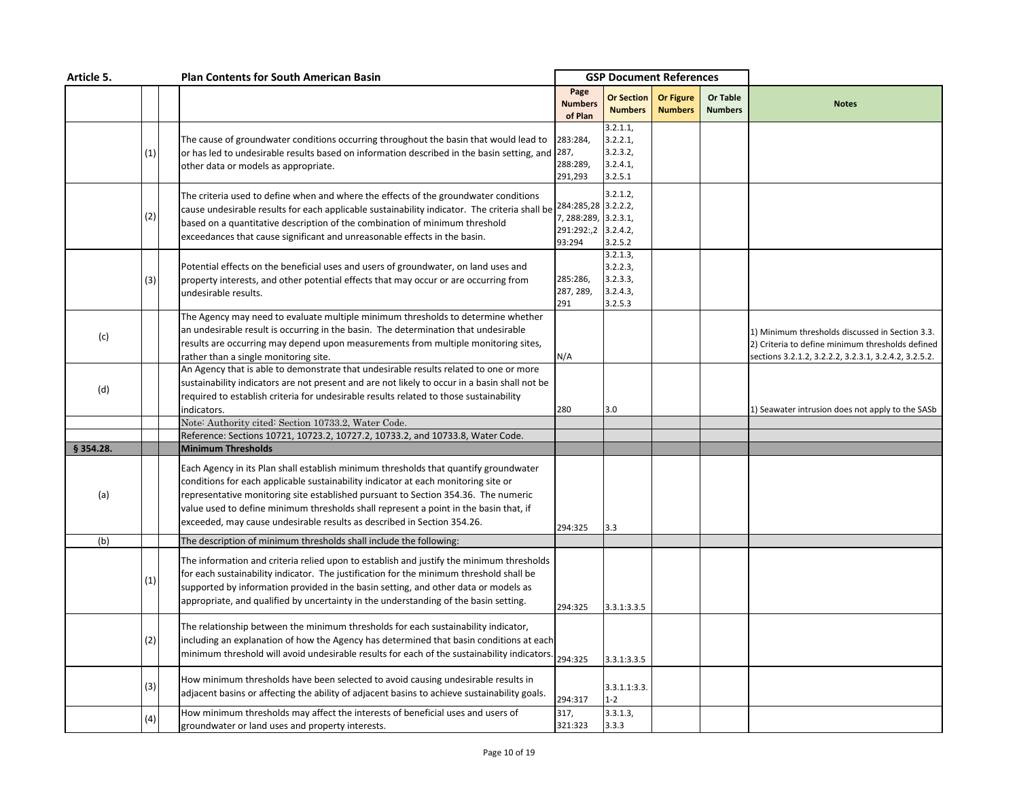| Article 5. |     |  | <b>Plan Contents for South American Basin</b>                                                                                                                                                                                                                                                                                                                                                                                        |                                                       |                                                         | <b>GSP Document References</b>     |                            |                                                                                                                                                              |
|------------|-----|--|--------------------------------------------------------------------------------------------------------------------------------------------------------------------------------------------------------------------------------------------------------------------------------------------------------------------------------------------------------------------------------------------------------------------------------------|-------------------------------------------------------|---------------------------------------------------------|------------------------------------|----------------------------|--------------------------------------------------------------------------------------------------------------------------------------------------------------|
|            |     |  |                                                                                                                                                                                                                                                                                                                                                                                                                                      | Page<br><b>Numbers</b><br>of Plan                     | <b>Or Section</b><br><b>Numbers</b>                     | <b>Or Figure</b><br><b>Numbers</b> | Or Table<br><b>Numbers</b> | <b>Notes</b>                                                                                                                                                 |
|            | (1) |  | The cause of groundwater conditions occurring throughout the basin that would lead to<br>or has led to undesirable results based on information described in the basin setting, and 287,<br>other data or models as appropriate.                                                                                                                                                                                                     | 283:284,<br>288:289,<br>291,293                       | 3.2.1.1,<br>3.2.2.1,<br>3.2.3.2,<br>3.2.4.1,<br>3.2.5.1 |                                    |                            |                                                                                                                                                              |
|            | (2) |  | The criteria used to define when and where the effects of the groundwater conditions<br>cause undesirable results for each applicable sustainability indicator. The criteria shall be $^{284:285,28}$ 3.2.2.2,<br>based on a quantitative description of the combination of minimum threshold<br>exceedances that cause significant and unreasonable effects in the basin.                                                           | 7, 288:289, 3.2.3.1,<br>291:292:,2 3.2.4.2,<br>93:294 | 3.2.1.2<br>3.2.5.2                                      |                                    |                            |                                                                                                                                                              |
|            | (3) |  | Potential effects on the beneficial uses and users of groundwater, on land uses and<br>property interests, and other potential effects that may occur or are occurring from<br>undesirable results.                                                                                                                                                                                                                                  | 285:286,<br>287, 289,<br>291                          | 3.2.1.3,<br>3.2.2.3,<br>3.2.3.3,<br>3.2.4.3,<br>3.2.5.3 |                                    |                            |                                                                                                                                                              |
| (c)        |     |  | The Agency may need to evaluate multiple minimum thresholds to determine whether<br>an undesirable result is occurring in the basin. The determination that undesirable<br>results are occurring may depend upon measurements from multiple monitoring sites,<br>rather than a single monitoring site.                                                                                                                               | N/A                                                   |                                                         |                                    |                            | 1) Minimum thresholds discussed in Section 3.3.<br>2) Criteria to define minimum thresholds defined<br>sections 3.2.1.2, 3.2.2.2, 3.2.3.1, 3.2.4.2, 3.2.5.2. |
| (d)        |     |  | An Agency that is able to demonstrate that undesirable results related to one or more<br>sustainability indicators are not present and are not likely to occur in a basin shall not be<br>required to establish criteria for undesirable results related to those sustainability<br>indicators.                                                                                                                                      | 280                                                   | 3.0                                                     |                                    |                            | L) Seawater intrusion does not apply to the SASb                                                                                                             |
|            |     |  | Note: Authority cited: Section 10733.2, Water Code.<br>Reference: Sections 10721, 10723.2, 10727.2, 10733.2, and 10733.8, Water Code.                                                                                                                                                                                                                                                                                                |                                                       |                                                         |                                    |                            |                                                                                                                                                              |
| § 354.28.  |     |  | <b>Minimum Thresholds</b>                                                                                                                                                                                                                                                                                                                                                                                                            |                                                       |                                                         |                                    |                            |                                                                                                                                                              |
| (a)        |     |  | Each Agency in its Plan shall establish minimum thresholds that quantify groundwater<br>conditions for each applicable sustainability indicator at each monitoring site or<br>representative monitoring site established pursuant to Section 354.36. The numeric<br>value used to define minimum thresholds shall represent a point in the basin that, if<br>exceeded, may cause undesirable results as described in Section 354.26. | 294:325                                               | 3.3                                                     |                                    |                            |                                                                                                                                                              |
| (b)        |     |  | The description of minimum thresholds shall include the following:                                                                                                                                                                                                                                                                                                                                                                   |                                                       |                                                         |                                    |                            |                                                                                                                                                              |
|            | (1) |  | The information and criteria relied upon to establish and justify the minimum thresholds<br>for each sustainability indicator. The justification for the minimum threshold shall be<br>supported by information provided in the basin setting, and other data or models as<br>appropriate, and qualified by uncertainty in the understanding of the basin setting.                                                                   | 294:325                                               | 3.3.1:3.3.5                                             |                                    |                            |                                                                                                                                                              |
|            | (2) |  | The relationship between the minimum thresholds for each sustainability indicator,<br>including an explanation of how the Agency has determined that basin conditions at each<br>minimum threshold will avoid undesirable results for each of the sustainability indicators                                                                                                                                                          | 294:325                                               | 3.3.1:3.3.5                                             |                                    |                            |                                                                                                                                                              |
|            | (3) |  | How minimum thresholds have been selected to avoid causing undesirable results in<br>adjacent basins or affecting the ability of adjacent basins to achieve sustainability goals.                                                                                                                                                                                                                                                    | 294:317                                               | 3.3.1.1:3.3.<br>$1 - 2$                                 |                                    |                            |                                                                                                                                                              |
|            | (4) |  | How minimum thresholds may affect the interests of beneficial uses and users of<br>groundwater or land uses and property interests.                                                                                                                                                                                                                                                                                                  | 317,<br>321:323                                       | 3.3.1.3,<br>3.3.3                                       |                                    |                            |                                                                                                                                                              |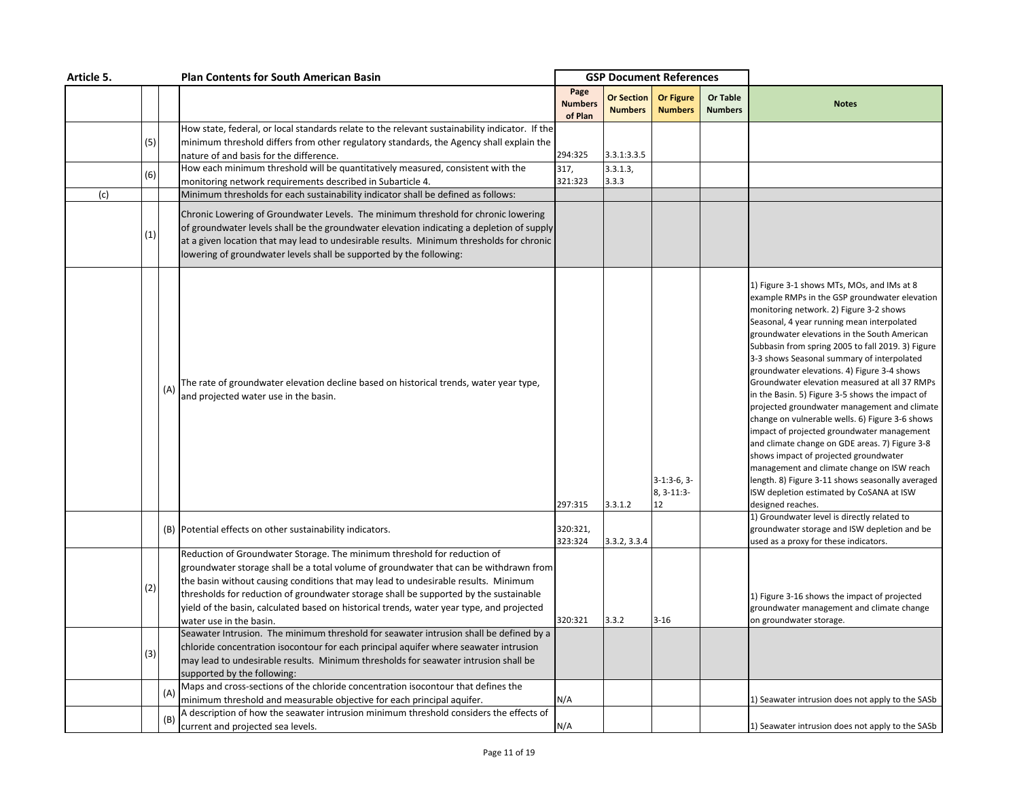| Article 5. |     | <b>Plan Contents for South American Basin</b>                                                                                                                                                                                                                                                                                                                                                                                                                            | <b>GSP Document References</b>    |                                     |                                    |                                   |                                                                                                                                                                                                                                                                                                                                                                                                                                                                                                                                                                                                                                                                                                                                                                                                                                                                                                           |
|------------|-----|--------------------------------------------------------------------------------------------------------------------------------------------------------------------------------------------------------------------------------------------------------------------------------------------------------------------------------------------------------------------------------------------------------------------------------------------------------------------------|-----------------------------------|-------------------------------------|------------------------------------|-----------------------------------|-----------------------------------------------------------------------------------------------------------------------------------------------------------------------------------------------------------------------------------------------------------------------------------------------------------------------------------------------------------------------------------------------------------------------------------------------------------------------------------------------------------------------------------------------------------------------------------------------------------------------------------------------------------------------------------------------------------------------------------------------------------------------------------------------------------------------------------------------------------------------------------------------------------|
|            |     |                                                                                                                                                                                                                                                                                                                                                                                                                                                                          | Page<br><b>Numbers</b><br>of Plan | <b>Or Section</b><br><b>Numbers</b> | <b>Or Figure</b><br><b>Numbers</b> | <b>Or Table</b><br><b>Numbers</b> | <b>Notes</b>                                                                                                                                                                                                                                                                                                                                                                                                                                                                                                                                                                                                                                                                                                                                                                                                                                                                                              |
| (5)        |     | How state, federal, or local standards relate to the relevant sustainability indicator. If the<br>minimum threshold differs from other regulatory standards, the Agency shall explain the<br>nature of and basis for the difference.                                                                                                                                                                                                                                     | 294:325                           | 3.3.1:3.3.5                         |                                    |                                   |                                                                                                                                                                                                                                                                                                                                                                                                                                                                                                                                                                                                                                                                                                                                                                                                                                                                                                           |
| (6)        |     | How each minimum threshold will be quantitatively measured, consistent with the                                                                                                                                                                                                                                                                                                                                                                                          | 317,                              | 3.3.1.3,                            |                                    |                                   |                                                                                                                                                                                                                                                                                                                                                                                                                                                                                                                                                                                                                                                                                                                                                                                                                                                                                                           |
| (c)        |     | monitoring network requirements described in Subarticle 4.<br>Minimum thresholds for each sustainability indicator shall be defined as follows:                                                                                                                                                                                                                                                                                                                          | 321:323                           | 3.3.3                               |                                    |                                   |                                                                                                                                                                                                                                                                                                                                                                                                                                                                                                                                                                                                                                                                                                                                                                                                                                                                                                           |
| (1)        |     | Chronic Lowering of Groundwater Levels. The minimum threshold for chronic lowering<br>of groundwater levels shall be the groundwater elevation indicating a depletion of supply<br>at a given location that may lead to undesirable results. Minimum thresholds for chronic<br>lowering of groundwater levels shall be supported by the following:                                                                                                                       |                                   |                                     |                                    |                                   |                                                                                                                                                                                                                                                                                                                                                                                                                                                                                                                                                                                                                                                                                                                                                                                                                                                                                                           |
|            | (A) | The rate of groundwater elevation decline based on historical trends, water year type,<br>and projected water use in the basin.                                                                                                                                                                                                                                                                                                                                          | 297:315                           | 3.3.1.2                             | $3-1:3-6,3-$<br>8, 3-11:3-<br>12   |                                   | 1) Figure 3-1 shows MTs, MOs, and IMs at 8<br>example RMPs in the GSP groundwater elevation<br>monitoring network. 2) Figure 3-2 shows<br>Seasonal, 4 year running mean interpolated<br>groundwater elevations in the South American<br>Subbasin from spring 2005 to fall 2019. 3) Figure<br>3-3 shows Seasonal summary of interpolated<br>groundwater elevations. 4) Figure 3-4 shows<br>Groundwater elevation measured at all 37 RMPs<br>in the Basin. 5) Figure 3-5 shows the impact of<br>projected groundwater management and climate<br>change on vulnerable wells. 6) Figure 3-6 shows<br>impact of projected groundwater management<br>and climate change on GDE areas. 7) Figure 3-8<br>shows impact of projected groundwater<br>management and climate change on ISW reach<br>length. 8) Figure 3-11 shows seasonally averaged<br>ISW depletion estimated by CoSANA at ISW<br>designed reaches. |
|            |     | (B) Potential effects on other sustainability indicators.                                                                                                                                                                                                                                                                                                                                                                                                                | 320:321,<br>323:324               | 3.3.2, 3.3.4                        |                                    |                                   | 1) Groundwater level is directly related to<br>groundwater storage and ISW depletion and be<br>used as a proxy for these indicators.                                                                                                                                                                                                                                                                                                                                                                                                                                                                                                                                                                                                                                                                                                                                                                      |
| (2)        |     | Reduction of Groundwater Storage. The minimum threshold for reduction of<br>groundwater storage shall be a total volume of groundwater that can be withdrawn from<br>the basin without causing conditions that may lead to undesirable results. Minimum<br>thresholds for reduction of groundwater storage shall be supported by the sustainable<br>yield of the basin, calculated based on historical trends, water year type, and projected<br>water use in the basin. | 320:321                           | 3.3.2                               | $3 - 16$                           |                                   | 1) Figure 3-16 shows the impact of projected<br>groundwater management and climate change<br>on groundwater storage.                                                                                                                                                                                                                                                                                                                                                                                                                                                                                                                                                                                                                                                                                                                                                                                      |
| (3)        |     | Seawater Intrusion. The minimum threshold for seawater intrusion shall be defined by a<br>chloride concentration isocontour for each principal aquifer where seawater intrusion<br>may lead to undesirable results. Minimum thresholds for seawater intrusion shall be<br>supported by the following:                                                                                                                                                                    |                                   |                                     |                                    |                                   |                                                                                                                                                                                                                                                                                                                                                                                                                                                                                                                                                                                                                                                                                                                                                                                                                                                                                                           |
|            |     | Maps and cross-sections of the chloride concentration isocontour that defines the<br>minimum threshold and measurable objective for each principal aquifer.                                                                                                                                                                                                                                                                                                              | N/A                               |                                     |                                    |                                   | L) Seawater intrusion does not apply to the SASb                                                                                                                                                                                                                                                                                                                                                                                                                                                                                                                                                                                                                                                                                                                                                                                                                                                          |
|            | (B  | A description of how the seawater intrusion minimum threshold considers the effects of<br>current and projected sea levels.                                                                                                                                                                                                                                                                                                                                              | N/A                               |                                     |                                    |                                   | 1) Seawater intrusion does not apply to the SASb                                                                                                                                                                                                                                                                                                                                                                                                                                                                                                                                                                                                                                                                                                                                                                                                                                                          |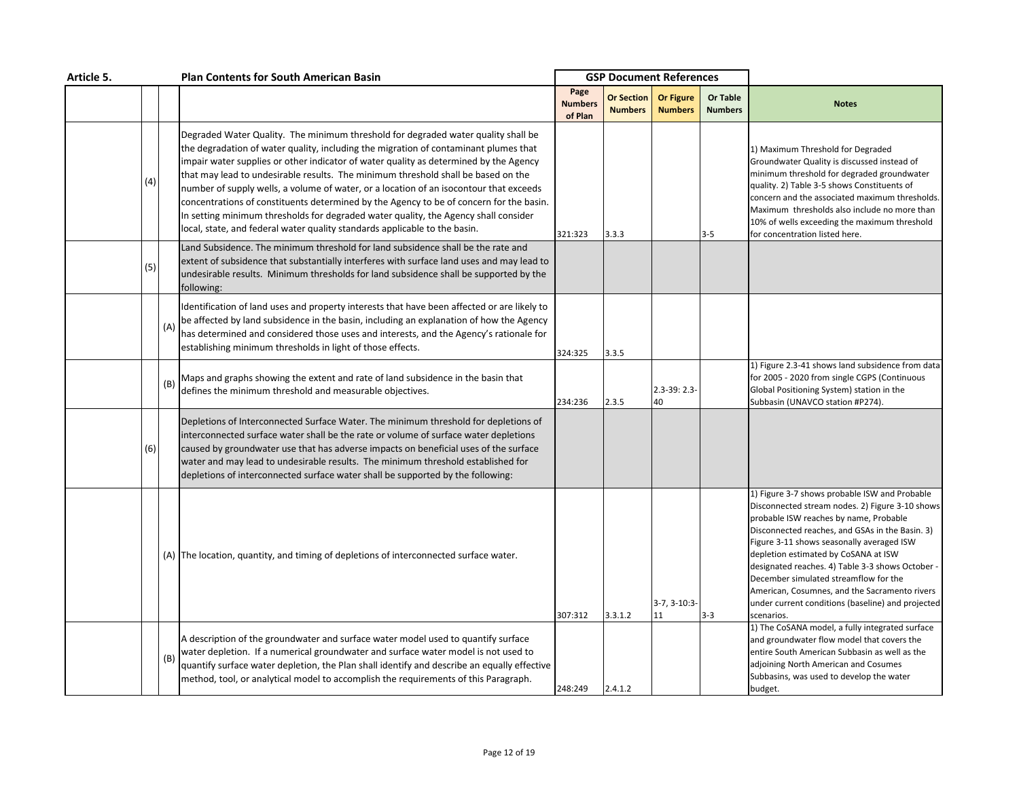| Article 5. |     |     | <b>Plan Contents for South American Basin</b>                                                                                                                                                                                                                                                                                                                                                                                                                                                                                                                                                                                                                                                                     |                                   | <b>GSP Document References</b>      |                                    |                            |                                                                                                                                                                                                                                                                                                                                                                                                                                                                                                     |
|------------|-----|-----|-------------------------------------------------------------------------------------------------------------------------------------------------------------------------------------------------------------------------------------------------------------------------------------------------------------------------------------------------------------------------------------------------------------------------------------------------------------------------------------------------------------------------------------------------------------------------------------------------------------------------------------------------------------------------------------------------------------------|-----------------------------------|-------------------------------------|------------------------------------|----------------------------|-----------------------------------------------------------------------------------------------------------------------------------------------------------------------------------------------------------------------------------------------------------------------------------------------------------------------------------------------------------------------------------------------------------------------------------------------------------------------------------------------------|
|            |     |     |                                                                                                                                                                                                                                                                                                                                                                                                                                                                                                                                                                                                                                                                                                                   | Page<br><b>Numbers</b><br>of Plan | <b>Or Section</b><br><b>Numbers</b> | <b>Or Figure</b><br><b>Numbers</b> | Or Table<br><b>Numbers</b> | <b>Notes</b>                                                                                                                                                                                                                                                                                                                                                                                                                                                                                        |
|            | (4) |     | Degraded Water Quality. The minimum threshold for degraded water quality shall be<br>the degradation of water quality, including the migration of contaminant plumes that<br>impair water supplies or other indicator of water quality as determined by the Agency<br>that may lead to undesirable results. The minimum threshold shall be based on the<br>number of supply wells, a volume of water, or a location of an isocontour that exceeds<br>concentrations of constituents determined by the Agency to be of concern for the basin.<br>In setting minimum thresholds for degraded water quality, the Agency shall consider<br>local, state, and federal water quality standards applicable to the basin. | 321:323                           | 3.3.3                               |                                    | $3 - 5$                    | 1) Maximum Threshold for Degraded<br>Groundwater Quality is discussed instead of<br>minimum threshold for degraded groundwater<br>quality. 2) Table 3-5 shows Constituents of<br>concern and the associated maximum thresholds.<br>Maximum thresholds also include no more than<br>10% of wells exceeding the maximum threshold<br>for concentration listed here.                                                                                                                                   |
|            | (5) |     | Land Subsidence. The minimum threshold for land subsidence shall be the rate and<br>extent of subsidence that substantially interferes with surface land uses and may lead to<br>undesirable results. Minimum thresholds for land subsidence shall be supported by the<br>following:                                                                                                                                                                                                                                                                                                                                                                                                                              |                                   |                                     |                                    |                            |                                                                                                                                                                                                                                                                                                                                                                                                                                                                                                     |
|            |     | (A) | Identification of land uses and property interests that have been affected or are likely to<br>be affected by land subsidence in the basin, including an explanation of how the Agency<br>has determined and considered those uses and interests, and the Agency's rationale for<br>establishing minimum thresholds in light of those effects.                                                                                                                                                                                                                                                                                                                                                                    | 324:325                           | 3.3.5                               |                                    |                            |                                                                                                                                                                                                                                                                                                                                                                                                                                                                                                     |
|            |     | (B) | Maps and graphs showing the extent and rate of land subsidence in the basin that<br>defines the minimum threshold and measurable objectives.                                                                                                                                                                                                                                                                                                                                                                                                                                                                                                                                                                      | 234:236                           | 2.3.5                               | $2.3 - 39:2.3$<br>40               |                            | 1) Figure 2.3-41 shows land subsidence from data<br>for 2005 - 2020 from single CGPS (Continuous<br>Global Positioning System) station in the<br>Subbasin (UNAVCO station #P274).                                                                                                                                                                                                                                                                                                                   |
|            | (6) |     | Depletions of Interconnected Surface Water. The minimum threshold for depletions of<br>interconnected surface water shall be the rate or volume of surface water depletions<br>caused by groundwater use that has adverse impacts on beneficial uses of the surface<br>water and may lead to undesirable results. The minimum threshold established for<br>depletions of interconnected surface water shall be supported by the following:                                                                                                                                                                                                                                                                        |                                   |                                     |                                    |                            |                                                                                                                                                                                                                                                                                                                                                                                                                                                                                                     |
|            |     |     | (A) The location, quantity, and timing of depletions of interconnected surface water.                                                                                                                                                                                                                                                                                                                                                                                                                                                                                                                                                                                                                             | 307:312                           | 3.3.1.2                             | $3-7, 3-10:3-$<br>11               | $3 - 3$                    | 1) Figure 3-7 shows probable ISW and Probable<br>Disconnected stream nodes. 2) Figure 3-10 shows<br>probable ISW reaches by name, Probable<br>Disconnected reaches, and GSAs in the Basin. 3)<br>Figure 3-11 shows seasonally averaged ISW<br>depletion estimated by CoSANA at ISW<br>designated reaches. 4) Table 3-3 shows October -<br>December simulated streamflow for the<br>American, Cosumnes, and the Sacramento rivers<br>under current conditions (baseline) and projected<br>scenarios. |
|            |     | (B) | A description of the groundwater and surface water model used to quantify surface<br>water depletion. If a numerical groundwater and surface water model is not used to<br>quantify surface water depletion, the Plan shall identify and describe an equally effective<br>method, tool, or analytical model to accomplish the requirements of this Paragraph.                                                                                                                                                                                                                                                                                                                                                     | 248:249                           | 2.4.1.2                             |                                    |                            | 1) The CoSANA model, a fully integrated surface<br>and groundwater flow model that covers the<br>entire South American Subbasin as well as the<br>adjoining North American and Cosumes<br>Subbasins, was used to develop the water<br>budget.                                                                                                                                                                                                                                                       |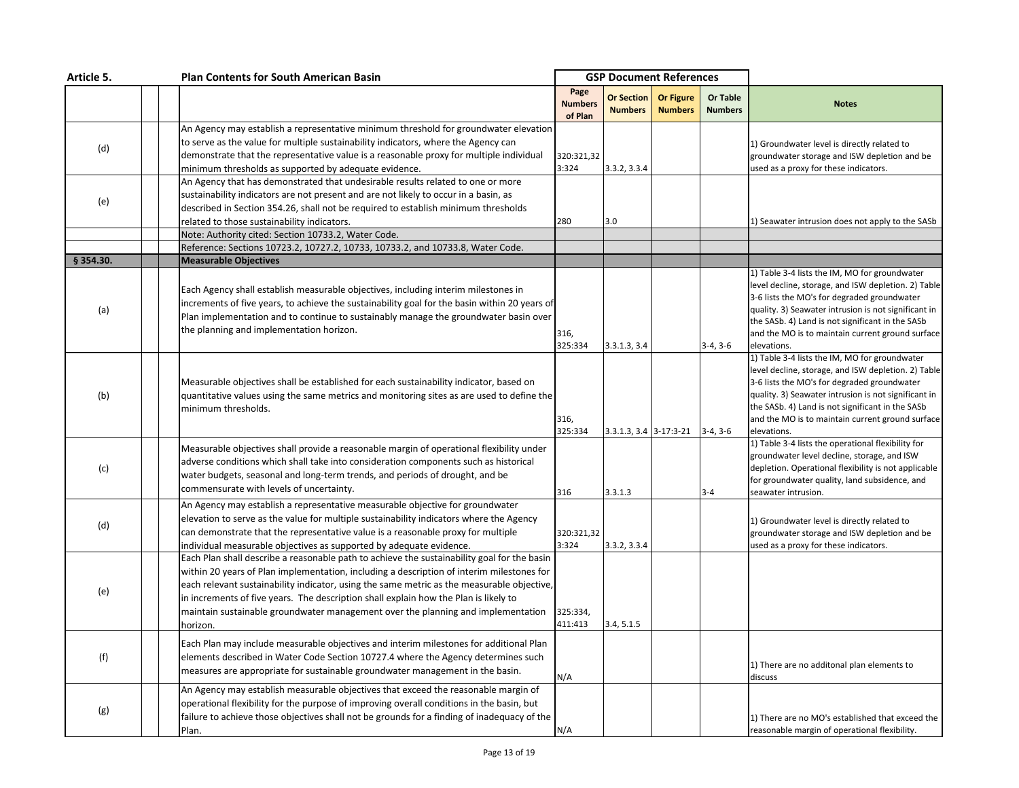| Article 5. |  | <b>Plan Contents for South American Basin</b>                                                                                                                                                                                                                                                                                                                                                                                                                                  | <b>GSP Document References</b>    |                                     |                                    |                                   |                                                                                                                                                                                                                                                                                                                                    |
|------------|--|--------------------------------------------------------------------------------------------------------------------------------------------------------------------------------------------------------------------------------------------------------------------------------------------------------------------------------------------------------------------------------------------------------------------------------------------------------------------------------|-----------------------------------|-------------------------------------|------------------------------------|-----------------------------------|------------------------------------------------------------------------------------------------------------------------------------------------------------------------------------------------------------------------------------------------------------------------------------------------------------------------------------|
|            |  |                                                                                                                                                                                                                                                                                                                                                                                                                                                                                | Page<br><b>Numbers</b><br>of Plan | <b>Or Section</b><br><b>Numbers</b> | <b>Or Figure</b><br><b>Numbers</b> | <b>Or Table</b><br><b>Numbers</b> | <b>Notes</b>                                                                                                                                                                                                                                                                                                                       |
| (d)        |  | An Agency may establish a representative minimum threshold for groundwater elevation<br>to serve as the value for multiple sustainability indicators, where the Agency can<br>demonstrate that the representative value is a reasonable proxy for multiple individual<br>minimum thresholds as supported by adequate evidence.                                                                                                                                                 | 320:321,32<br>3:324               | 3.3.2, 3.3.4                        |                                    |                                   | 1) Groundwater level is directly related to<br>groundwater storage and ISW depletion and be<br>used as a proxy for these indicators.                                                                                                                                                                                               |
| (e)        |  | An Agency that has demonstrated that undesirable results related to one or more<br>sustainability indicators are not present and are not likely to occur in a basin, as<br>described in Section 354.26, shall not be required to establish minimum thresholds<br>related to those sustainability indicators.                                                                                                                                                                   | 280                               | 3.0                                 |                                    |                                   | 1) Seawater intrusion does not apply to the SASb                                                                                                                                                                                                                                                                                   |
|            |  | Note: Authority cited: Section 10733.2, Water Code.                                                                                                                                                                                                                                                                                                                                                                                                                            |                                   |                                     |                                    |                                   |                                                                                                                                                                                                                                                                                                                                    |
| § 354.30.  |  | Reference: Sections 10723.2, 10727.2, 10733, 10733.2, and 10733.8, Water Code.<br><b>Measurable Objectives</b>                                                                                                                                                                                                                                                                                                                                                                 |                                   |                                     |                                    |                                   |                                                                                                                                                                                                                                                                                                                                    |
| (a)        |  | Each Agency shall establish measurable objectives, including interim milestones in<br>increments of five years, to achieve the sustainability goal for the basin within 20 years of<br>Plan implementation and to continue to sustainably manage the groundwater basin over<br>the planning and implementation horizon.                                                                                                                                                        | 316,<br>325:334                   | 3.3.1.3, 3.4                        |                                    | $3-4, 3-6$                        | 1) Table 3-4 lists the IM, MO for groundwater<br>level decline, storage, and ISW depletion. 2) Table<br>3-6 lists the MO's for degraded groundwater<br>quality. 3) Seawater intrusion is not significant in<br>the SASb. 4) Land is not significant in the SASb<br>and the MO is to maintain current ground surface<br>elevations. |
| (b)        |  | Measurable objectives shall be established for each sustainability indicator, based on<br>quantitative values using the same metrics and monitoring sites as are used to define the<br>minimum thresholds.                                                                                                                                                                                                                                                                     | 316,<br>325:334                   |                                     | $3.3.1.3, 3.4$ 3-17:3-21 3-4, 3-6  |                                   | 1) Table 3-4 lists the IM, MO for groundwater<br>level decline, storage, and ISW depletion. 2) Table<br>3-6 lists the MO's for degraded groundwater<br>quality. 3) Seawater intrusion is not significant in<br>the SASb. 4) Land is not significant in the SASb<br>and the MO is to maintain current ground surface<br>elevations. |
| (c)        |  | Measurable objectives shall provide a reasonable margin of operational flexibility under<br>adverse conditions which shall take into consideration components such as historical<br>water budgets, seasonal and long-term trends, and periods of drought, and be<br>commensurate with levels of uncertainty.                                                                                                                                                                   | 316                               | 3.3.1.3                             |                                    | $3 - 4$                           | 1) Table 3-4 lists the operational flexibility for<br>groundwater level decline, storage, and ISW<br>depletion. Operational flexibility is not applicable<br>for groundwater quality, land subsidence, and<br>seawater intrusion.                                                                                                  |
| (d)        |  | An Agency may establish a representative measurable objective for groundwater<br>elevation to serve as the value for multiple sustainability indicators where the Agency<br>can demonstrate that the representative value is a reasonable proxy for multiple<br>individual measurable objectives as supported by adequate evidence.                                                                                                                                            | 320:321,32<br>3:324               | 3.3.2, 3.3.4                        |                                    |                                   | 1) Groundwater level is directly related to<br>groundwater storage and ISW depletion and be<br>used as a proxy for these indicators.                                                                                                                                                                                               |
| (e)        |  | Each Plan shall describe a reasonable path to achieve the sustainability goal for the basin<br>within 20 years of Plan implementation, including a description of interim milestones for<br>each relevant sustainability indicator, using the same metric as the measurable objective,<br>in increments of five years. The description shall explain how the Plan is likely to<br>maintain sustainable groundwater management over the planning and implementation<br>horizon. | 325:334,<br>411:413               | 3.4, 5.1.5                          |                                    |                                   |                                                                                                                                                                                                                                                                                                                                    |
| (f)        |  | Each Plan may include measurable objectives and interim milestones for additional Plan<br>elements described in Water Code Section 10727.4 where the Agency determines such<br>measures are appropriate for sustainable groundwater management in the basin.                                                                                                                                                                                                                   | N/A                               |                                     |                                    |                                   | 1) There are no additonal plan elements to<br>discuss                                                                                                                                                                                                                                                                              |
| (g)        |  | An Agency may establish measurable objectives that exceed the reasonable margin of<br>operational flexibility for the purpose of improving overall conditions in the basin, but<br>failure to achieve those objectives shall not be grounds for a finding of inadequacy of the<br>Plan.                                                                                                                                                                                        | N/A                               |                                     |                                    |                                   | 1) There are no MO's established that exceed the<br>reasonable margin of operational flexibility.                                                                                                                                                                                                                                  |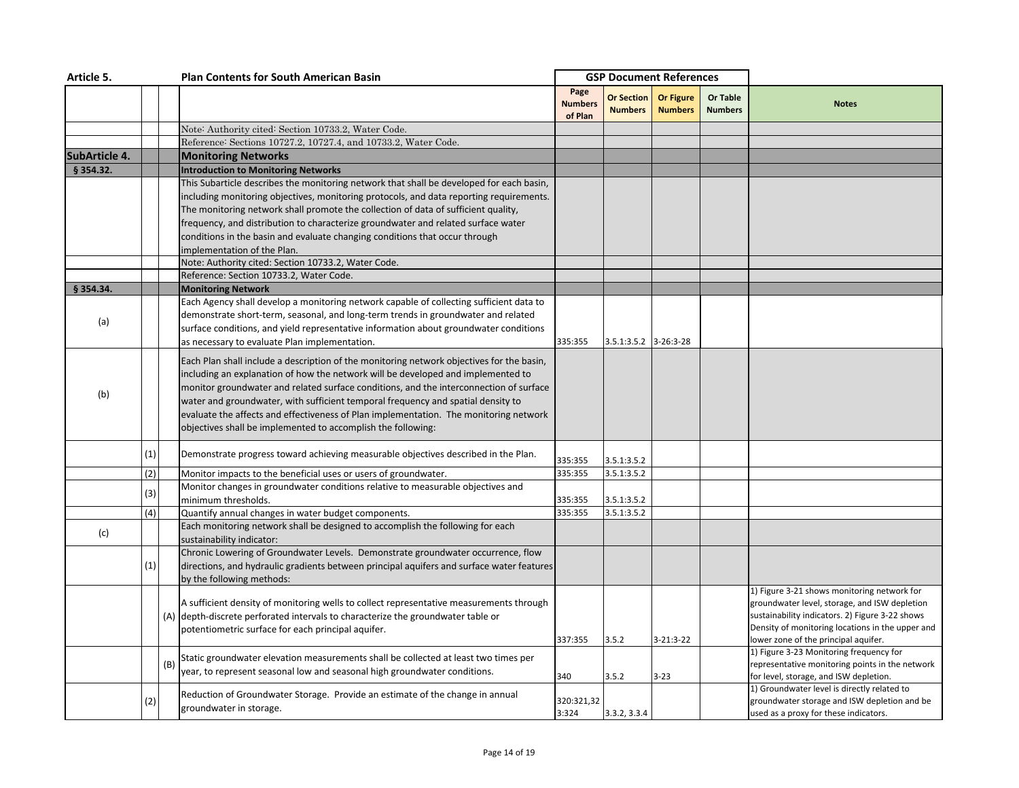| Article 5.    |     |     | <b>Plan Contents for South American Basin</b>                                                                                                                                                                                                                                                                                                                                                                                                                                                                        |                                   | <b>GSP Document References</b>      |                                    |                                   |                                                                                                                                                                                                                                            |
|---------------|-----|-----|----------------------------------------------------------------------------------------------------------------------------------------------------------------------------------------------------------------------------------------------------------------------------------------------------------------------------------------------------------------------------------------------------------------------------------------------------------------------------------------------------------------------|-----------------------------------|-------------------------------------|------------------------------------|-----------------------------------|--------------------------------------------------------------------------------------------------------------------------------------------------------------------------------------------------------------------------------------------|
|               |     |     |                                                                                                                                                                                                                                                                                                                                                                                                                                                                                                                      | Page<br><b>Numbers</b><br>of Plan | <b>Or Section</b><br><b>Numbers</b> | <b>Or Figure</b><br><b>Numbers</b> | <b>Or Table</b><br><b>Numbers</b> | <b>Notes</b>                                                                                                                                                                                                                               |
|               |     |     | Note: Authority cited: Section 10733.2, Water Code.                                                                                                                                                                                                                                                                                                                                                                                                                                                                  |                                   |                                     |                                    |                                   |                                                                                                                                                                                                                                            |
|               |     |     | Reference: Sections 10727.2, 10727.4, and 10733.2, Water Code.                                                                                                                                                                                                                                                                                                                                                                                                                                                       |                                   |                                     |                                    |                                   |                                                                                                                                                                                                                                            |
| SubArticle 4. |     |     | <b>Monitoring Networks</b>                                                                                                                                                                                                                                                                                                                                                                                                                                                                                           |                                   |                                     |                                    |                                   |                                                                                                                                                                                                                                            |
| § 354.32.     |     |     | <b>Introduction to Monitoring Networks</b>                                                                                                                                                                                                                                                                                                                                                                                                                                                                           |                                   |                                     |                                    |                                   |                                                                                                                                                                                                                                            |
|               |     |     | This Subarticle describes the monitoring network that shall be developed for each basin,<br>including monitoring objectives, monitoring protocols, and data reporting requirements.<br>The monitoring network shall promote the collection of data of sufficient quality,<br>frequency, and distribution to characterize groundwater and related surface water<br>conditions in the basin and evaluate changing conditions that occur through                                                                        |                                   |                                     |                                    |                                   |                                                                                                                                                                                                                                            |
|               |     |     | implementation of the Plan.                                                                                                                                                                                                                                                                                                                                                                                                                                                                                          |                                   |                                     |                                    |                                   |                                                                                                                                                                                                                                            |
|               |     |     | Note: Authority cited: Section 10733.2, Water Code.                                                                                                                                                                                                                                                                                                                                                                                                                                                                  |                                   |                                     |                                    |                                   |                                                                                                                                                                                                                                            |
|               |     |     | Reference: Section 10733.2, Water Code.                                                                                                                                                                                                                                                                                                                                                                                                                                                                              |                                   |                                     |                                    |                                   |                                                                                                                                                                                                                                            |
| § 354.34.     |     |     | <b>Monitoring Network</b>                                                                                                                                                                                                                                                                                                                                                                                                                                                                                            |                                   |                                     |                                    |                                   |                                                                                                                                                                                                                                            |
| (a)           |     |     | Each Agency shall develop a monitoring network capable of collecting sufficient data to<br>demonstrate short-term, seasonal, and long-term trends in groundwater and related<br>surface conditions, and yield representative information about groundwater conditions<br>as necessary to evaluate Plan implementation.                                                                                                                                                                                               | 335:355                           | 3.5.1:3.5.2 3-26:3-28               |                                    |                                   |                                                                                                                                                                                                                                            |
| (b)           |     |     | Each Plan shall include a description of the monitoring network objectives for the basin,<br>including an explanation of how the network will be developed and implemented to<br>monitor groundwater and related surface conditions, and the interconnection of surface<br>water and groundwater, with sufficient temporal frequency and spatial density to<br>evaluate the affects and effectiveness of Plan implementation. The monitoring network<br>objectives shall be implemented to accomplish the following: |                                   |                                     |                                    |                                   |                                                                                                                                                                                                                                            |
|               | (1) |     | Demonstrate progress toward achieving measurable objectives described in the Plan.                                                                                                                                                                                                                                                                                                                                                                                                                                   | 335:355                           | 3.5.1:3.5.2                         |                                    |                                   |                                                                                                                                                                                                                                            |
|               | (2) |     | Monitor impacts to the beneficial uses or users of groundwater.                                                                                                                                                                                                                                                                                                                                                                                                                                                      | 335:355                           | 3.5.1:3.5.2                         |                                    |                                   |                                                                                                                                                                                                                                            |
|               | (3) |     | Monitor changes in groundwater conditions relative to measurable objectives and<br>minimum thresholds.                                                                                                                                                                                                                                                                                                                                                                                                               | 335:355                           | 3.5.1:3.5.2                         |                                    |                                   |                                                                                                                                                                                                                                            |
|               | (4) |     | Quantify annual changes in water budget components.                                                                                                                                                                                                                                                                                                                                                                                                                                                                  | 335:355                           | 3.5.1:3.5.2                         |                                    |                                   |                                                                                                                                                                                                                                            |
| (c)           |     |     | Each monitoring network shall be designed to accomplish the following for each<br>sustainability indicator:                                                                                                                                                                                                                                                                                                                                                                                                          |                                   |                                     |                                    |                                   |                                                                                                                                                                                                                                            |
|               | (1) |     | Chronic Lowering of Groundwater Levels. Demonstrate groundwater occurrence, flow<br>directions, and hydraulic gradients between principal aquifers and surface water features<br>by the following methods:                                                                                                                                                                                                                                                                                                           |                                   |                                     |                                    |                                   |                                                                                                                                                                                                                                            |
|               |     |     | A sufficient density of monitoring wells to collect representative measurements through<br>(A) depth-discrete perforated intervals to characterize the groundwater table or<br>potentiometric surface for each principal aquifer.                                                                                                                                                                                                                                                                                    | 337:355                           | 3.5.2                               | $3 - 21:3 - 22$                    |                                   | 1) Figure 3-21 shows monitoring network for<br>groundwater level, storage, and ISW depletion<br>sustainability indicators. 2) Figure 3-22 shows<br>Density of monitoring locations in the upper and<br>ower zone of the principal aquifer. |
|               |     | (B) | Static groundwater elevation measurements shall be collected at least two times per<br>year, to represent seasonal low and seasonal high groundwater conditions.                                                                                                                                                                                                                                                                                                                                                     | 340                               | 3.5.2                               | $3 - 23$                           |                                   | 1) Figure 3-23 Monitoring frequency for<br>representative monitoring points in the network<br>for level, storage, and ISW depletion.                                                                                                       |
|               | (2) |     | Reduction of Groundwater Storage. Provide an estimate of the change in annual<br>groundwater in storage.                                                                                                                                                                                                                                                                                                                                                                                                             | 320:321,32<br>3:324               | 3.3.2, 3.3.4                        |                                    |                                   | 1) Groundwater level is directly related to<br>groundwater storage and ISW depletion and be<br>used as a proxy for these indicators.                                                                                                       |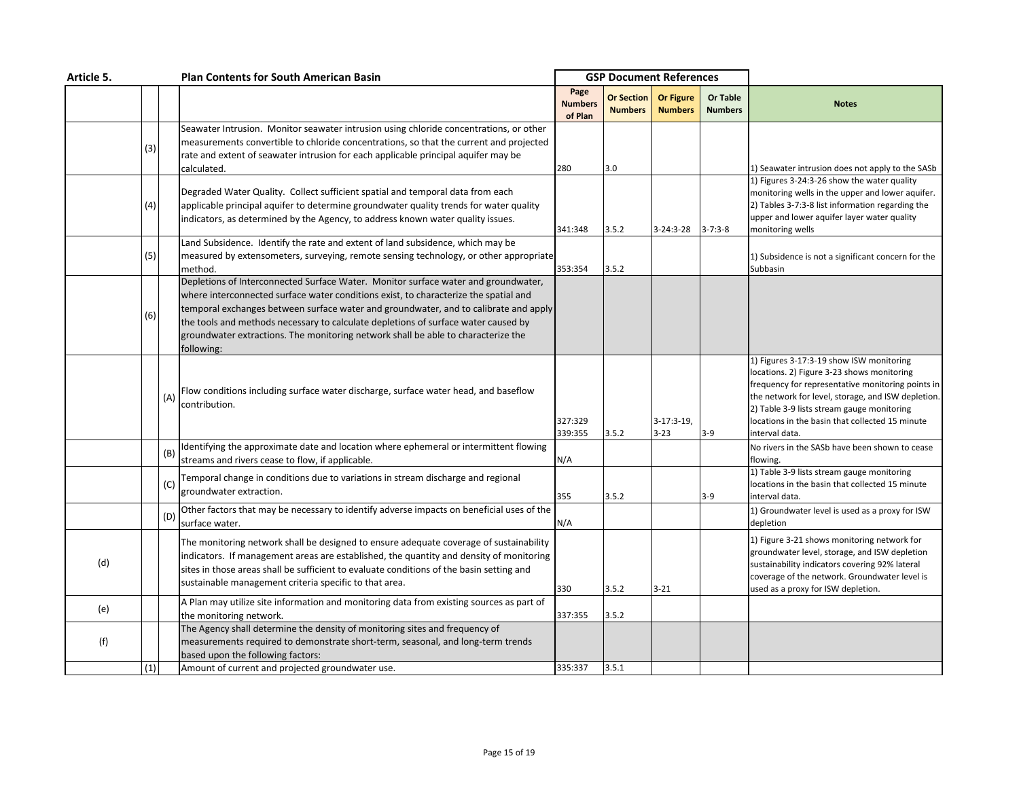| Article 5. |     |     | <b>Plan Contents for South American Basin</b>                                                                                                                                                                                                                                                                                                                                                                                                               |                                   | <b>GSP Document References</b>      |                                    |                            |                                                                                                                                                                                                                                                                                                                      |
|------------|-----|-----|-------------------------------------------------------------------------------------------------------------------------------------------------------------------------------------------------------------------------------------------------------------------------------------------------------------------------------------------------------------------------------------------------------------------------------------------------------------|-----------------------------------|-------------------------------------|------------------------------------|----------------------------|----------------------------------------------------------------------------------------------------------------------------------------------------------------------------------------------------------------------------------------------------------------------------------------------------------------------|
|            |     |     |                                                                                                                                                                                                                                                                                                                                                                                                                                                             | Page<br><b>Numbers</b><br>of Plan | <b>Or Section</b><br><b>Numbers</b> | <b>Or Figure</b><br><b>Numbers</b> | Or Table<br><b>Numbers</b> | <b>Notes</b>                                                                                                                                                                                                                                                                                                         |
|            | (3) |     | Seawater Intrusion. Monitor seawater intrusion using chloride concentrations, or other<br>measurements convertible to chloride concentrations, so that the current and projected<br>rate and extent of seawater intrusion for each applicable principal aquifer may be<br>calculated.                                                                                                                                                                       | 280                               | 3.0                                 |                                    |                            | 1) Seawater intrusion does not apply to the SASb                                                                                                                                                                                                                                                                     |
|            | (4) |     | Degraded Water Quality. Collect sufficient spatial and temporal data from each<br>applicable principal aquifer to determine groundwater quality trends for water quality<br>indicators, as determined by the Agency, to address known water quality issues.                                                                                                                                                                                                 | 341:348                           | 3.5.2                               | 3-24:3-28                          | $3 - 7:3 - 8$              | 1) Figures 3-24:3-26 show the water quality<br>monitoring wells in the upper and lower aquifer.<br>2) Tables 3-7:3-8 list information regarding the<br>upper and lower aquifer layer water quality<br>monitoring wells                                                                                               |
|            | (5) |     | Land Subsidence. Identify the rate and extent of land subsidence, which may be<br>measured by extensometers, surveying, remote sensing technology, or other appropriate<br>method.                                                                                                                                                                                                                                                                          | 353:354                           | 3.5.2                               |                                    |                            | 1) Subsidence is not a significant concern for the<br>Subbasin                                                                                                                                                                                                                                                       |
|            | (6) |     | Depletions of Interconnected Surface Water. Monitor surface water and groundwater,<br>where interconnected surface water conditions exist, to characterize the spatial and<br>temporal exchanges between surface water and groundwater, and to calibrate and apply<br>the tools and methods necessary to calculate depletions of surface water caused by<br>groundwater extractions. The monitoring network shall be able to characterize the<br>following: |                                   |                                     |                                    |                            |                                                                                                                                                                                                                                                                                                                      |
|            |     | (A) | Flow conditions including surface water discharge, surface water head, and baseflow<br>contribution.                                                                                                                                                                                                                                                                                                                                                        | 327:329<br>339:355                | 3.5.2                               | $3-17:3-19$<br>$3 - 23$            | $3-9$                      | 1) Figures 3-17:3-19 show ISW monitoring<br>locations. 2) Figure 3-23 shows monitoring<br>frequency for representative monitoring points in<br>the network for level, storage, and ISW depletion.<br>2) Table 3-9 lists stream gauge monitoring<br>locations in the basin that collected 15 minute<br>interval data. |
|            |     | (B) | Identifying the approximate date and location where ephemeral or intermittent flowing<br>streams and rivers cease to flow, if applicable.                                                                                                                                                                                                                                                                                                                   | N/A                               |                                     |                                    |                            | No rivers in the SASb have been shown to cease<br>flowing.                                                                                                                                                                                                                                                           |
|            |     | (C) | Temporal change in conditions due to variations in stream discharge and regional<br>groundwater extraction.                                                                                                                                                                                                                                                                                                                                                 | 355                               | 3.5.2                               |                                    | $3-9$                      | 1) Table 3-9 lists stream gauge monitoring<br>locations in the basin that collected 15 minute<br>interval data.                                                                                                                                                                                                      |
|            |     | (D) | Other factors that may be necessary to identify adverse impacts on beneficial uses of the<br>surface water.                                                                                                                                                                                                                                                                                                                                                 | N/A                               |                                     |                                    |                            | 1) Groundwater level is used as a proxy for ISW<br>depletion                                                                                                                                                                                                                                                         |
| (d)        |     |     | The monitoring network shall be designed to ensure adequate coverage of sustainability<br>indicators. If management areas are established, the quantity and density of monitoring<br>sites in those areas shall be sufficient to evaluate conditions of the basin setting and<br>sustainable management criteria specific to that area.                                                                                                                     | 330                               | 3.5.2                               | $3 - 21$                           |                            | 1) Figure 3-21 shows monitoring network for<br>groundwater level, storage, and ISW depletion<br>sustainability indicators covering 92% lateral<br>coverage of the network. Groundwater level is<br>used as a proxy for ISW depletion.                                                                                |
| (e)        |     |     | A Plan may utilize site information and monitoring data from existing sources as part of<br>the monitoring network.                                                                                                                                                                                                                                                                                                                                         | 337:355                           | 3.5.2                               |                                    |                            |                                                                                                                                                                                                                                                                                                                      |
| (f)        |     |     | The Agency shall determine the density of monitoring sites and frequency of<br>measurements required to demonstrate short-term, seasonal, and long-term trends<br>based upon the following factors:                                                                                                                                                                                                                                                         |                                   |                                     |                                    |                            |                                                                                                                                                                                                                                                                                                                      |
|            | (1) |     | Amount of current and projected groundwater use.                                                                                                                                                                                                                                                                                                                                                                                                            | 335:337                           | 3.5.1                               |                                    |                            |                                                                                                                                                                                                                                                                                                                      |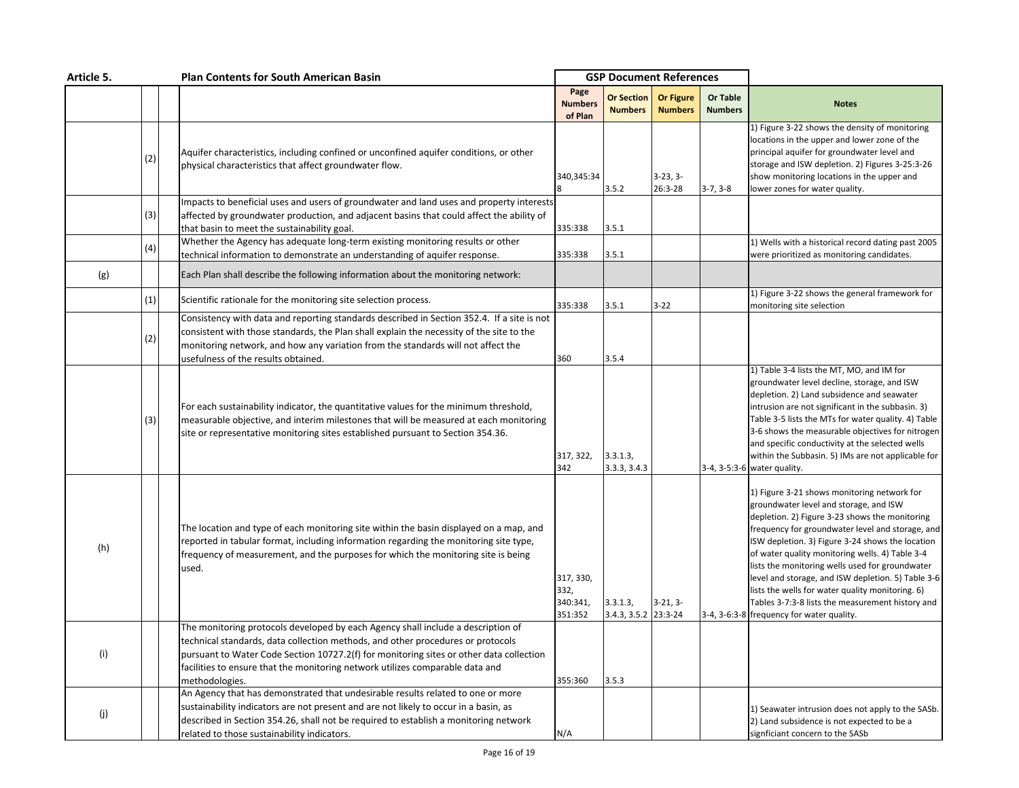| Article 5. |     | <b>Plan Contents for South American Basin</b>                                                                                                                                                                                                                                                                                                                     |                                          | <b>GSP Document References</b>      |                                    |                            |                                                                                                                                                                                                                                                                                                                                                                                                                                                                                                                                                                  |
|------------|-----|-------------------------------------------------------------------------------------------------------------------------------------------------------------------------------------------------------------------------------------------------------------------------------------------------------------------------------------------------------------------|------------------------------------------|-------------------------------------|------------------------------------|----------------------------|------------------------------------------------------------------------------------------------------------------------------------------------------------------------------------------------------------------------------------------------------------------------------------------------------------------------------------------------------------------------------------------------------------------------------------------------------------------------------------------------------------------------------------------------------------------|
|            |     |                                                                                                                                                                                                                                                                                                                                                                   | Page<br><b>Numbers</b><br>of Plan        | <b>Or Section</b><br><b>Numbers</b> | <b>Or Figure</b><br><b>Numbers</b> | Or Table<br><b>Numbers</b> | <b>Notes</b>                                                                                                                                                                                                                                                                                                                                                                                                                                                                                                                                                     |
|            | (2) | Aquifer characteristics, including confined or unconfined aquifer conditions, or other<br>physical characteristics that affect groundwater flow.                                                                                                                                                                                                                  | 340,345:34                               | 3.5.2                               | $3-23, 3-$<br>26:3-28              | $3-7, 3-8$                 | 1) Figure 3-22 shows the density of monitoring<br>locations in the upper and lower zone of the<br>principal aquifer for groundwater level and<br>storage and ISW depletion. 2) Figures 3-25:3-26<br>show monitoring locations in the upper and<br>lower zones for water quality.                                                                                                                                                                                                                                                                                 |
|            | (3) | Impacts to beneficial uses and users of groundwater and land uses and property interests<br>affected by groundwater production, and adjacent basins that could affect the ability of                                                                                                                                                                              |                                          |                                     |                                    |                            |                                                                                                                                                                                                                                                                                                                                                                                                                                                                                                                                                                  |
|            | (4) | that basin to meet the sustainability goal.<br>Whether the Agency has adequate long-term existing monitoring results or other<br>technical information to demonstrate an understanding of aquifer response.                                                                                                                                                       | 335:338<br>335:338                       | 3.5.1<br>3.5.1                      |                                    |                            | 1) Wells with a historical record dating past 2005<br>were prioritized as monitoring candidates.                                                                                                                                                                                                                                                                                                                                                                                                                                                                 |
| (g)        |     | Each Plan shall describe the following information about the monitoring network:                                                                                                                                                                                                                                                                                  |                                          |                                     |                                    |                            |                                                                                                                                                                                                                                                                                                                                                                                                                                                                                                                                                                  |
|            | (1) | Scientific rationale for the monitoring site selection process.                                                                                                                                                                                                                                                                                                   | 335:338                                  | 3.5.1                               | 3-22                               |                            | 1) Figure 3-22 shows the general framework for<br>monitoring site selection                                                                                                                                                                                                                                                                                                                                                                                                                                                                                      |
|            | (2) | Consistency with data and reporting standards described in Section 352.4. If a site is not<br>consistent with those standards, the Plan shall explain the necessity of the site to the<br>monitoring network, and how any variation from the standards will not affect the<br>usefulness of the results obtained.                                                 | 360                                      | 3.5.4                               |                                    |                            |                                                                                                                                                                                                                                                                                                                                                                                                                                                                                                                                                                  |
|            | (3) | For each sustainability indicator, the quantitative values for the minimum threshold,<br>measurable objective, and interim milestones that will be measured at each monitoring<br>site or representative monitoring sites established pursuant to Section 354.36.                                                                                                 | 317, 322,<br>342                         | 3.3.1.3,<br>3.3.3, 3.4.3            |                                    |                            | 1) Table 3-4 lists the MT, MO, and IM for<br>groundwater level decline, storage, and ISW<br>depletion. 2) Land subsidence and seawater<br>intrusion are not significant in the subbasin. 3)<br>Table 3-5 lists the MTs for water quality. 4) Table<br>3-6 shows the measurable objectives for nitrogen<br>and specific conductivity at the selected wells<br>within the Subbasin. 5) IMs are not applicable for<br>3-4, 3-5:3-6 water quality.                                                                                                                   |
| (h)        |     | The location and type of each monitoring site within the basin displayed on a map, and<br>reported in tabular format, including information regarding the monitoring site type,<br>frequency of measurement, and the purposes for which the monitoring site is being<br>used.                                                                                     | 317, 330,<br>332,<br>340:341,<br>351:352 | 3.3.1.3,<br>3.4.3, 3.5.2            | $3-21, 3-$<br>23:3-24              |                            | 1) Figure 3-21 shows monitoring network for<br>groundwater level and storage, and ISW<br>depletion. 2) Figure 3-23 shows the monitoring<br>frequency for groundwater level and storage, and<br>ISW depletion. 3) Figure 3-24 shows the location<br>of water quality monitoring wells. 4) Table 3-4<br>lists the monitoring wells used for groundwater<br>level and storage, and ISW depletion. 5) Table 3-6<br>lists the wells for water quality monitoring. 6)<br>Tables 3-7:3-8 lists the measurement history and<br>3-4, 3-6:3-8 frequency for water quality. |
| (i)        |     | The monitoring protocols developed by each Agency shall include a description of<br>technical standards, data collection methods, and other procedures or protocols<br>pursuant to Water Code Section 10727.2(f) for monitoring sites or other data collection<br>facilities to ensure that the monitoring network utilizes comparable data and<br>methodologies. | 355:360                                  | 3.5.3                               |                                    |                            |                                                                                                                                                                                                                                                                                                                                                                                                                                                                                                                                                                  |
| (j)        |     | An Agency that has demonstrated that undesirable results related to one or more<br>sustainability indicators are not present and are not likely to occur in a basin, as<br>described in Section 354.26, shall not be required to establish a monitoring network<br>related to those sustainability indicators.                                                    | N/A                                      |                                     |                                    |                            | 1) Seawater intrusion does not apply to the SASb.<br>2) Land subsidence is not expected to be a<br>signficiant concern to the SASb                                                                                                                                                                                                                                                                                                                                                                                                                               |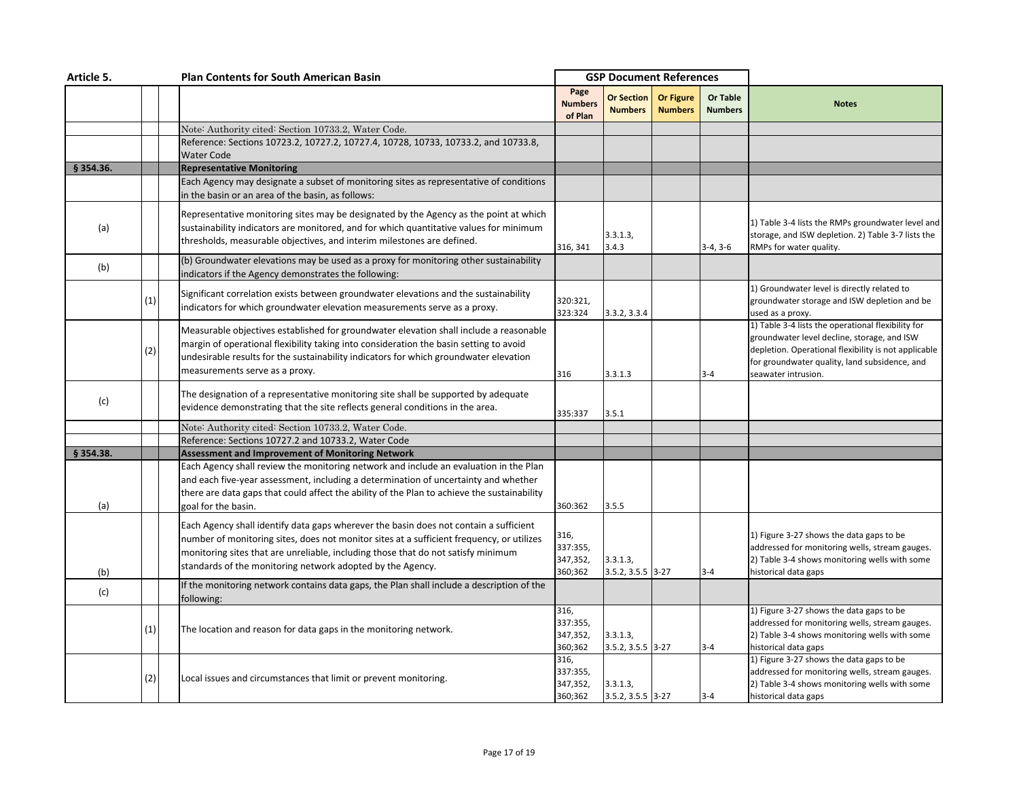| Article 5.  |     | <b>Plan Contents for South American Basin</b>                                                                                                                                                                                                                                                                                         |                                         | <b>GSP Document References</b>      |                                    |                                   |                                                                                                                                                                                                                                   |
|-------------|-----|---------------------------------------------------------------------------------------------------------------------------------------------------------------------------------------------------------------------------------------------------------------------------------------------------------------------------------------|-----------------------------------------|-------------------------------------|------------------------------------|-----------------------------------|-----------------------------------------------------------------------------------------------------------------------------------------------------------------------------------------------------------------------------------|
|             |     |                                                                                                                                                                                                                                                                                                                                       | Page<br><b>Numbers</b><br>of Plan       | <b>Or Section</b><br><b>Numbers</b> | <b>Or Figure</b><br><b>Numbers</b> | <b>Or Table</b><br><b>Numbers</b> | <b>Notes</b>                                                                                                                                                                                                                      |
|             |     | Note: Authority cited: Section 10733.2, Water Code.                                                                                                                                                                                                                                                                                   |                                         |                                     |                                    |                                   |                                                                                                                                                                                                                                   |
|             |     | Reference: Sections 10723.2, 10727.2, 10727.4, 10728, 10733, 10733.2, and 10733.8,                                                                                                                                                                                                                                                    |                                         |                                     |                                    |                                   |                                                                                                                                                                                                                                   |
|             |     | <b>Water Code</b>                                                                                                                                                                                                                                                                                                                     |                                         |                                     |                                    |                                   |                                                                                                                                                                                                                                   |
| $§$ 354.36. |     | <b>Representative Monitoring</b>                                                                                                                                                                                                                                                                                                      |                                         |                                     |                                    |                                   |                                                                                                                                                                                                                                   |
|             |     | Each Agency may designate a subset of monitoring sites as representative of conditions<br>in the basin or an area of the basin, as follows:                                                                                                                                                                                           |                                         |                                     |                                    |                                   |                                                                                                                                                                                                                                   |
| (a)         |     | Representative monitoring sites may be designated by the Agency as the point at which<br>sustainability indicators are monitored, and for which quantitative values for minimum<br>thresholds, measurable objectives, and interim milestones are defined.                                                                             | 316, 341                                | 3.3.1.3,<br>3.4.3                   |                                    | $3-4, 3-6$                        | 1) Table 3-4 lists the RMPs groundwater level and<br>storage, and ISW depletion. 2) Table 3-7 lists the<br>RMPs for water quality.                                                                                                |
| (b)         |     | (b) Groundwater elevations may be used as a proxy for monitoring other sustainability<br>indicators if the Agency demonstrates the following:                                                                                                                                                                                         |                                         |                                     |                                    |                                   |                                                                                                                                                                                                                                   |
|             | (1) | Significant correlation exists between groundwater elevations and the sustainability<br>indicators for which groundwater elevation measurements serve as a proxy.                                                                                                                                                                     | 320:321,<br>323:324                     | 3.3.2, 3.3.4                        |                                    |                                   | 1) Groundwater level is directly related to<br>groundwater storage and ISW depletion and be<br>used as a proxy.                                                                                                                   |
|             | (2) | Measurable objectives established for groundwater elevation shall include a reasonable<br>margin of operational flexibility taking into consideration the basin setting to avoid<br>undesirable results for the sustainability indicators for which groundwater elevation<br>measurements serve as a proxy.                           | 316                                     | 3.3.1.3                             |                                    | $3 - 4$                           | 1) Table 3-4 lists the operational flexibility for<br>groundwater level decline, storage, and ISW<br>depletion. Operational flexibility is not applicable<br>for groundwater quality, land subsidence, and<br>seawater intrusion. |
| (c)         |     | The designation of a representative monitoring site shall be supported by adequate<br>evidence demonstrating that the site reflects general conditions in the area.                                                                                                                                                                   | 335:337                                 | 3.5.1                               |                                    |                                   |                                                                                                                                                                                                                                   |
|             |     | Note: Authority cited: Section 10733.2, Water Code.                                                                                                                                                                                                                                                                                   |                                         |                                     |                                    |                                   |                                                                                                                                                                                                                                   |
|             |     | Reference: Sections 10727.2 and 10733.2. Water Code                                                                                                                                                                                                                                                                                   |                                         |                                     |                                    |                                   |                                                                                                                                                                                                                                   |
| $§$ 354.38. |     | <b>Assessment and Improvement of Monitoring Network</b>                                                                                                                                                                                                                                                                               |                                         |                                     |                                    |                                   |                                                                                                                                                                                                                                   |
| (a)         |     | Each Agency shall review the monitoring network and include an evaluation in the Plan<br>and each five-year assessment, including a determination of uncertainty and whether<br>there are data gaps that could affect the ability of the Plan to achieve the sustainability<br>goal for the basin.                                    | 360:362                                 | 3.5.5                               |                                    |                                   |                                                                                                                                                                                                                                   |
| (b)         |     | Each Agency shall identify data gaps wherever the basin does not contain a sufficient<br>number of monitoring sites, does not monitor sites at a sufficient frequency, or utilizes<br>monitoring sites that are unreliable, including those that do not satisfy minimum<br>standards of the monitoring network adopted by the Agency. | 316,<br>337:355,<br>347,352,<br>360;362 | 3.3.1.3,<br>3.5.2, 3.5.5 3-27       |                                    | $3 - 4$                           | 1) Figure 3-27 shows the data gaps to be<br>addressed for monitoring wells, stream gauges.<br>2) Table 3-4 shows monitoring wells with some<br>historical data gaps                                                               |
| (c)         |     | If the monitoring network contains data gaps, the Plan shall include a description of the<br>following:                                                                                                                                                                                                                               |                                         |                                     |                                    |                                   |                                                                                                                                                                                                                                   |
|             | (1) | The location and reason for data gaps in the monitoring network.                                                                                                                                                                                                                                                                      | 316,<br>337:355,<br>347,352,<br>360;362 | 3.3.1.3,<br>3.5.2, 3.5.5 3-27       |                                    | $3 - 4$                           | 1) Figure 3-27 shows the data gaps to be<br>addressed for monitoring wells, stream gauges.<br>2) Table 3-4 shows monitoring wells with some<br>historical data gaps                                                               |
|             | (2) | Local issues and circumstances that limit or prevent monitoring.                                                                                                                                                                                                                                                                      | 316,<br>337:355,<br>347,352,<br>360;362 | 3.3.1.3,<br>3.5.2, 3.5.5 3-27       |                                    | $3 - 4$                           | 1) Figure 3-27 shows the data gaps to be<br>addressed for monitoring wells, stream gauges.<br>2) Table 3-4 shows monitoring wells with some<br>historical data gaps                                                               |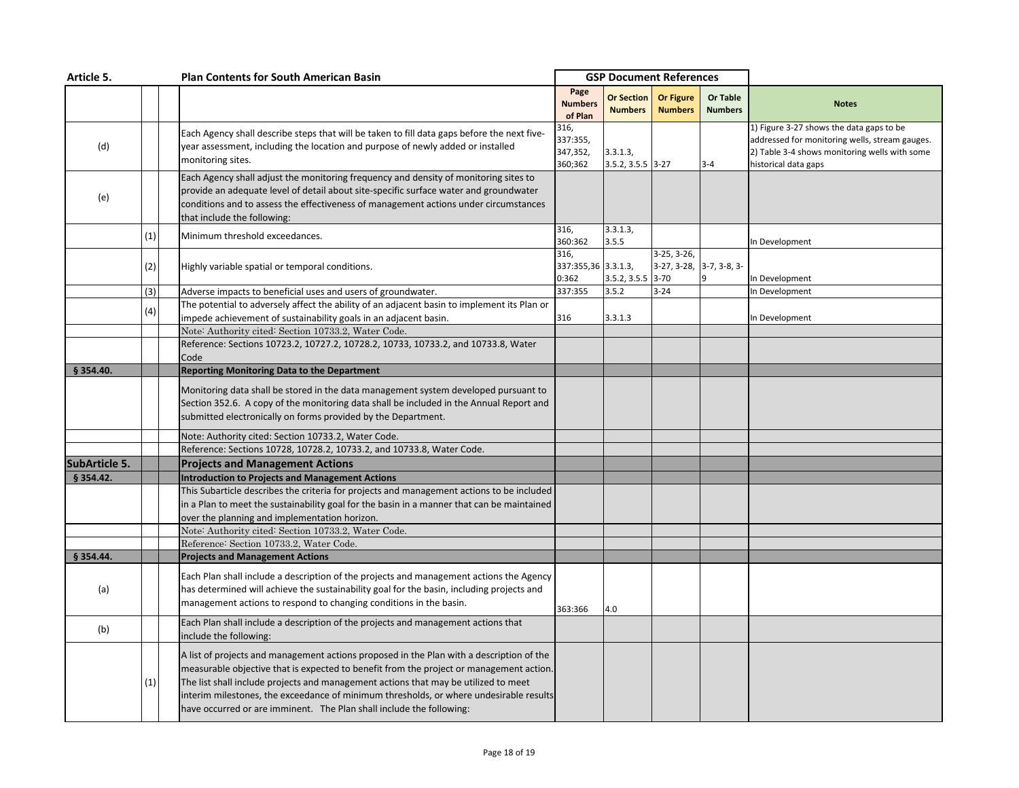| Article 5.           |     | <b>Plan Contents for South American Basin</b>                                                                                                                                                                                                                                                                                                                                                                                                |                                         | <b>GSP Document References</b>      |                                           |                            |                                                                                                                                                                     |
|----------------------|-----|----------------------------------------------------------------------------------------------------------------------------------------------------------------------------------------------------------------------------------------------------------------------------------------------------------------------------------------------------------------------------------------------------------------------------------------------|-----------------------------------------|-------------------------------------|-------------------------------------------|----------------------------|---------------------------------------------------------------------------------------------------------------------------------------------------------------------|
|                      |     |                                                                                                                                                                                                                                                                                                                                                                                                                                              | Page<br><b>Numbers</b><br>of Plan       | <b>Or Section</b><br><b>Numbers</b> | <b>Or Figure</b><br><b>Numbers</b>        | Or Table<br><b>Numbers</b> | <b>Notes</b>                                                                                                                                                        |
| (d)                  |     | Each Agency shall describe steps that will be taken to fill data gaps before the next five-<br>year assessment, including the location and purpose of newly added or installed<br>monitoring sites.                                                                                                                                                                                                                                          | 316,<br>337:355,<br>347,352,<br>360;362 | 3.3.1.3,<br>$3.5.2, 3.5.5$ 3-27     |                                           | $3 - 4$                    | 1) Figure 3-27 shows the data gaps to be<br>addressed for monitoring wells, stream gauges.<br>2) Table 3-4 shows monitoring wells with some<br>historical data gaps |
| (e)                  |     | Each Agency shall adjust the monitoring frequency and density of monitoring sites to<br>provide an adequate level of detail about site-specific surface water and groundwater<br>conditions and to assess the effectiveness of management actions under circumstances<br>that include the following:                                                                                                                                         |                                         |                                     |                                           |                            |                                                                                                                                                                     |
|                      | (1) | Minimum threshold exceedances.                                                                                                                                                                                                                                                                                                                                                                                                               | 316,<br>360:362                         | 3.3.1.3,<br>3.5.5                   |                                           |                            | In Development                                                                                                                                                      |
|                      | (2) | Highly variable spatial or temporal conditions.                                                                                                                                                                                                                                                                                                                                                                                              | 316,<br>337:355,36 3.3.1.3,<br>0:362    | $3.5.2, 3.5.5$ 3-70                 | 3-25, 3-26,<br>$3-27, 3-28, 3-7, 3-8, 3-$ |                            | In Development                                                                                                                                                      |
|                      | (3) | Adverse impacts to beneficial uses and users of groundwater.                                                                                                                                                                                                                                                                                                                                                                                 | 337:355                                 | 3.5.2                               | $3 - 24$                                  |                            | In Development                                                                                                                                                      |
|                      | (4) | The potential to adversely affect the ability of an adjacent basin to implement its Plan or<br>impede achievement of sustainability goals in an adjacent basin.                                                                                                                                                                                                                                                                              | 316                                     | 3.3.1.3                             |                                           |                            | In Development                                                                                                                                                      |
|                      |     | Note: Authority cited: Section 10733.2, Water Code.                                                                                                                                                                                                                                                                                                                                                                                          |                                         |                                     |                                           |                            |                                                                                                                                                                     |
|                      |     | Reference: Sections 10723.2, 10727.2, 10728.2, 10733, 10733.2, and 10733.8, Water<br>Code                                                                                                                                                                                                                                                                                                                                                    |                                         |                                     |                                           |                            |                                                                                                                                                                     |
| § 354.40.            |     | <b>Reporting Monitoring Data to the Department</b>                                                                                                                                                                                                                                                                                                                                                                                           |                                         |                                     |                                           |                            |                                                                                                                                                                     |
|                      |     | Monitoring data shall be stored in the data management system developed pursuant to<br>Section 352.6. A copy of the monitoring data shall be included in the Annual Report and<br>submitted electronically on forms provided by the Department.                                                                                                                                                                                              |                                         |                                     |                                           |                            |                                                                                                                                                                     |
|                      |     | Note: Authority cited: Section 10733.2, Water Code.                                                                                                                                                                                                                                                                                                                                                                                          |                                         |                                     |                                           |                            |                                                                                                                                                                     |
|                      |     | Reference: Sections 10728, 10728.2, 10733.2, and 10733.8, Water Code.                                                                                                                                                                                                                                                                                                                                                                        |                                         |                                     |                                           |                            |                                                                                                                                                                     |
| <b>SubArticle 5.</b> |     | <b>Projects and Management Actions</b>                                                                                                                                                                                                                                                                                                                                                                                                       |                                         |                                     |                                           |                            |                                                                                                                                                                     |
| § 354.42.            |     | <b>Introduction to Projects and Management Actions</b>                                                                                                                                                                                                                                                                                                                                                                                       |                                         |                                     |                                           |                            |                                                                                                                                                                     |
|                      |     | This Subarticle describes the criteria for projects and management actions to be included<br>in a Plan to meet the sustainability goal for the basin in a manner that can be maintained<br>over the planning and implementation horizon.                                                                                                                                                                                                     |                                         |                                     |                                           |                            |                                                                                                                                                                     |
|                      |     | Note: Authority cited: Section 10733.2, Water Code.                                                                                                                                                                                                                                                                                                                                                                                          |                                         |                                     |                                           |                            |                                                                                                                                                                     |
|                      |     | Reference: Section 10733.2, Water Code.                                                                                                                                                                                                                                                                                                                                                                                                      |                                         |                                     |                                           |                            |                                                                                                                                                                     |
| § 354.44.            |     | <b>Projects and Management Actions</b>                                                                                                                                                                                                                                                                                                                                                                                                       |                                         |                                     |                                           |                            |                                                                                                                                                                     |
| (a)                  |     | Each Plan shall include a description of the projects and management actions the Agency<br>has determined will achieve the sustainability goal for the basin, including projects and<br>management actions to respond to changing conditions in the basin.                                                                                                                                                                                   | 363:366                                 | 4.0                                 |                                           |                            |                                                                                                                                                                     |
| (b)                  |     | Each Plan shall include a description of the projects and management actions that<br>include the following:                                                                                                                                                                                                                                                                                                                                  |                                         |                                     |                                           |                            |                                                                                                                                                                     |
|                      | (1) | A list of projects and management actions proposed in the Plan with a description of the<br>measurable objective that is expected to benefit from the project or management action.<br>The list shall include projects and management actions that may be utilized to meet<br>interim milestones, the exceedance of minimum thresholds, or where undesirable results<br>have occurred or are imminent. The Plan shall include the following: |                                         |                                     |                                           |                            |                                                                                                                                                                     |